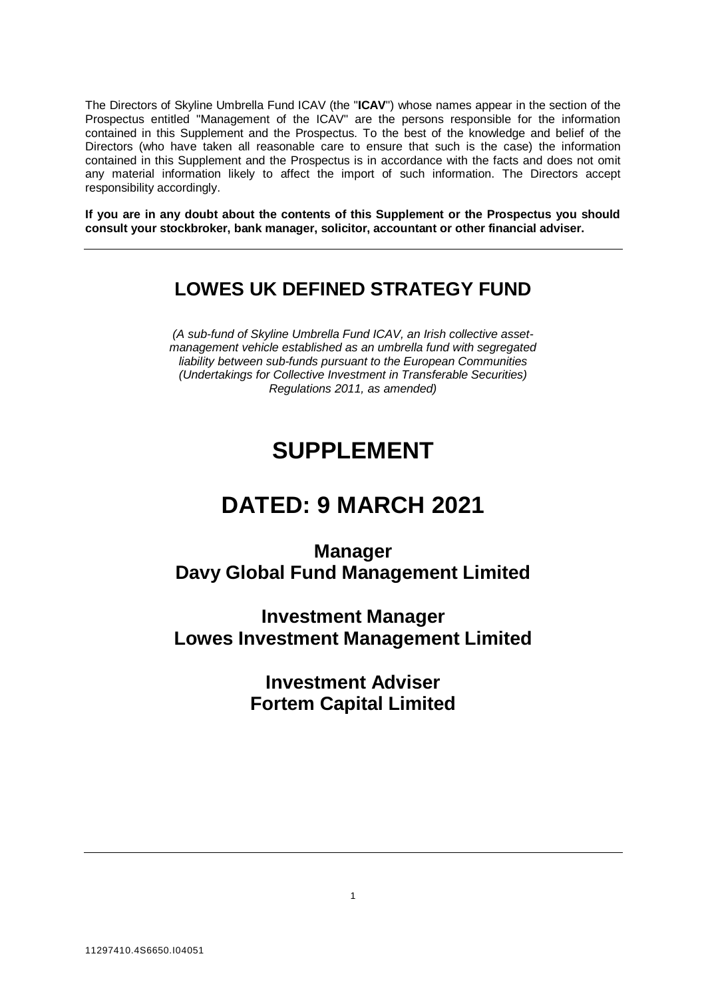The Directors of Skyline Umbrella Fund ICAV (the "**ICAV**") whose names appear in the section of the Prospectus entitled "Management of the ICAV" are the persons responsible for the information contained in this Supplement and the Prospectus. To the best of the knowledge and belief of the Directors (who have taken all reasonable care to ensure that such is the case) the information contained in this Supplement and the Prospectus is in accordance with the facts and does not omit any material information likely to affect the import of such information. The Directors accept responsibility accordingly.

**If you are in any doubt about the contents of this Supplement or the Prospectus you should consult your stockbroker, bank manager, solicitor, accountant or other financial adviser.**

# **LOWES UK DEFINED STRATEGY FUND**

*(A sub-fund of Skyline Umbrella Fund ICAV, an Irish collective assetmanagement vehicle established as an umbrella fund with segregated liability between sub-funds pursuant to the European Communities (Undertakings for Collective Investment in Transferable Securities) Regulations 2011, as amended)*

# **SUPPLEMENT**

# **DATED: 9 MARCH 2021**

**Manager Davy Global Fund Management Limited**

**Investment Manager Lowes Investment Management Limited**

> **Investment Adviser Fortem Capital Limited**

> > 1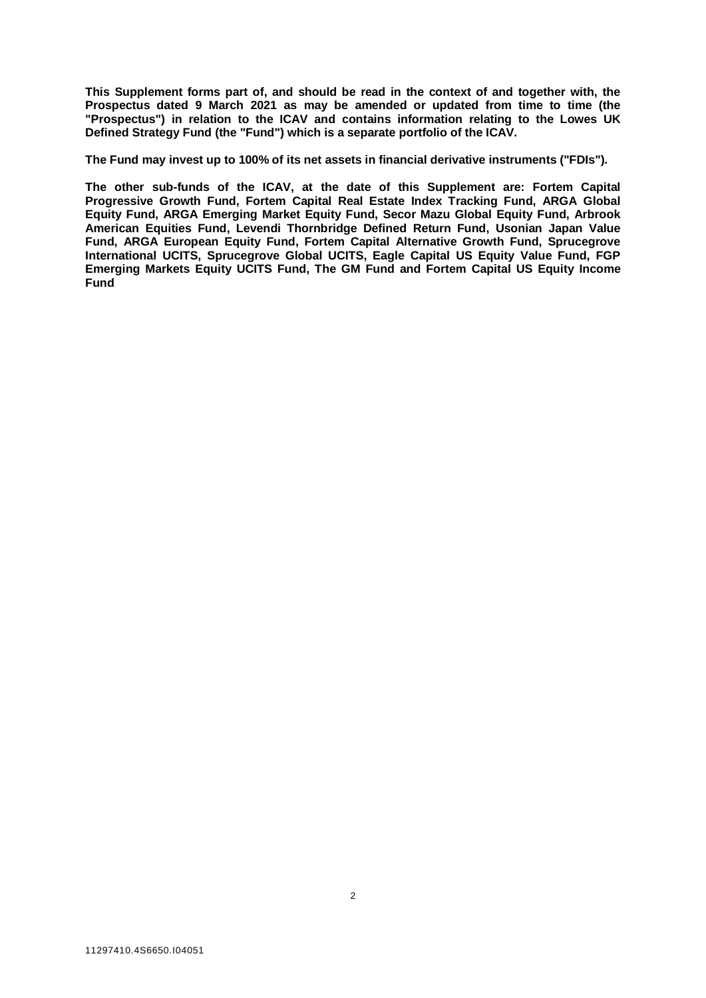**This Supplement forms part of, and should be read in the context of and together with, the Prospectus dated 9 March 2021 as may be amended or updated from time to time (the "Prospectus") in relation to the ICAV and contains information relating to the Lowes UK Defined Strategy Fund (the "Fund") which is a separate portfolio of the ICAV.** 

**The Fund may invest up to 100% of its net assets in financial derivative instruments ("FDIs").**

**The other sub-funds of the ICAV, at the date of this Supplement are: Fortem Capital Progressive Growth Fund, Fortem Capital Real Estate Index Tracking Fund, ARGA Global Equity Fund, ARGA Emerging Market Equity Fund, Secor Mazu Global Equity Fund, Arbrook American Equities Fund, Levendi Thornbridge Defined Return Fund, Usonian Japan Value Fund, ARGA European Equity Fund, Fortem Capital Alternative Growth Fund, Sprucegrove International UCITS, Sprucegrove Global UCITS, Eagle Capital US Equity Value Fund, FGP Emerging Markets Equity UCITS Fund, The GM Fund and Fortem Capital US Equity Income Fund**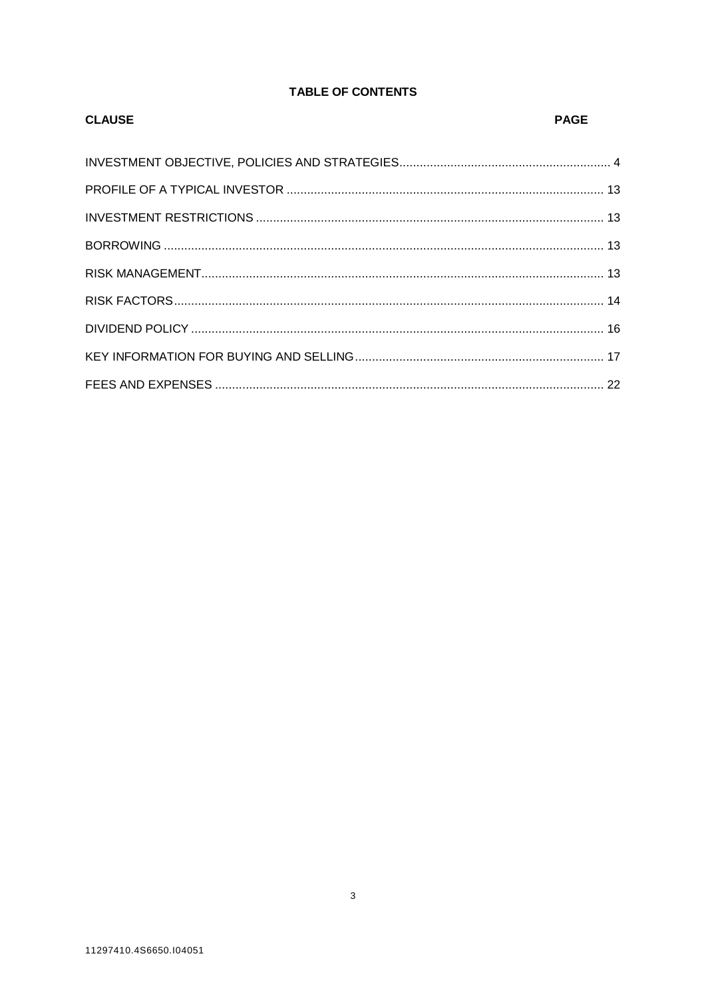# **TABLE OF CONTENTS**

| <b>CLAUSE</b> | PAGE |
|---------------|------|
|               |      |
|               |      |
|               |      |
|               |      |
|               |      |
|               |      |
|               |      |
|               |      |
|               |      |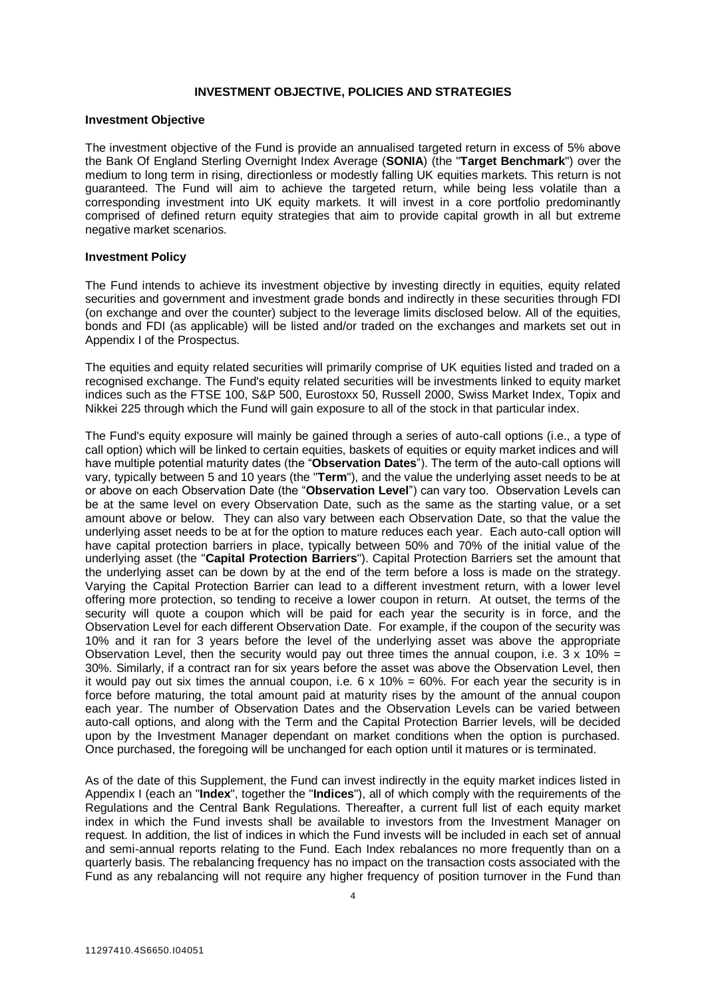# **INVESTMENT OBJECTIVE, POLICIES AND STRATEGIES**

#### <span id="page-3-0"></span>**Investment Objective**

The investment objective of the Fund is provide an annualised targeted return in excess of 5% above the Bank Of England Sterling Overnight Index Average (**SONIA**) (the "**Target Benchmark**") over the medium to long term in rising, directionless or modestly falling UK equities markets. This return is not guaranteed. The Fund will aim to achieve the targeted return, while being less volatile than a corresponding investment into UK equity markets. It will invest in a core portfolio predominantly comprised of defined return equity strategies that aim to provide capital growth in all but extreme negative market scenarios.

#### **Investment Policy**

The Fund intends to achieve its investment objective by investing directly in equities, equity related securities and government and investment grade bonds and indirectly in these securities through FDI (on exchange and over the counter) subject to the leverage limits disclosed below. All of the equities, bonds and FDI (as applicable) will be listed and/or traded on the exchanges and markets set out in Appendix I of the Prospectus.

The equities and equity related securities will primarily comprise of UK equities listed and traded on a recognised exchange. The Fund's equity related securities will be investments linked to equity market indices such as the FTSE 100, S&P 500, Eurostoxx 50, Russell 2000, Swiss Market Index, Topix and Nikkei 225 through which the Fund will gain exposure to all of the stock in that particular index.

The Fund's equity exposure will mainly be gained through a series of auto-call options (i.e., a type of call option) which will be linked to certain equities, baskets of equities or equity market indices and will have multiple potential maturity dates (the "**Observation Dates**"). The term of the auto-call options will vary, typically between 5 and 10 years (the "**Term**"), and the value the underlying asset needs to be at or above on each Observation Date (the "**Observation Level**") can vary too. Observation Levels can be at the same level on every Observation Date, such as the same as the starting value, or a set amount above or below. They can also vary between each Observation Date, so that the value the underlying asset needs to be at for the option to mature reduces each year. Each auto-call option will have capital protection barriers in place, typically between 50% and 70% of the initial value of the underlying asset (the "**Capital Protection Barriers**"). Capital Protection Barriers set the amount that the underlying asset can be down by at the end of the term before a loss is made on the strategy. Varying the Capital Protection Barrier can lead to a different investment return, with a lower level offering more protection, so tending to receive a lower coupon in return. At outset, the terms of the security will quote a coupon which will be paid for each year the security is in force, and the Observation Level for each different Observation Date. For example, if the coupon of the security was 10% and it ran for 3 years before the level of the underlying asset was above the appropriate Observation Level, then the security would pay out three times the annual coupon, i.e.  $3 \times 10\% =$ 30%. Similarly, if a contract ran for six years before the asset was above the Observation Level, then it would pay out six times the annual coupon, i.e.  $6 \times 10\% = 60\%$ . For each year the security is in force before maturing, the total amount paid at maturity rises by the amount of the annual coupon each year. The number of Observation Dates and the Observation Levels can be varied between auto-call options, and along with the Term and the Capital Protection Barrier levels, will be decided upon by the Investment Manager dependant on market conditions when the option is purchased. Once purchased, the foregoing will be unchanged for each option until it matures or is terminated.

As of the date of this Supplement, the Fund can invest indirectly in the equity market indices listed in Appendix I (each an "**Index**", together the "**Indices**"), all of which comply with the requirements of the Regulations and the Central Bank Regulations. Thereafter, a current full list of each equity market index in which the Fund invests shall be available to investors from the Investment Manager on request. In addition, the list of indices in which the Fund invests will be included in each set of annual and semi-annual reports relating to the Fund. Each Index rebalances no more frequently than on a quarterly basis. The rebalancing frequency has no impact on the transaction costs associated with the Fund as any rebalancing will not require any higher frequency of position turnover in the Fund than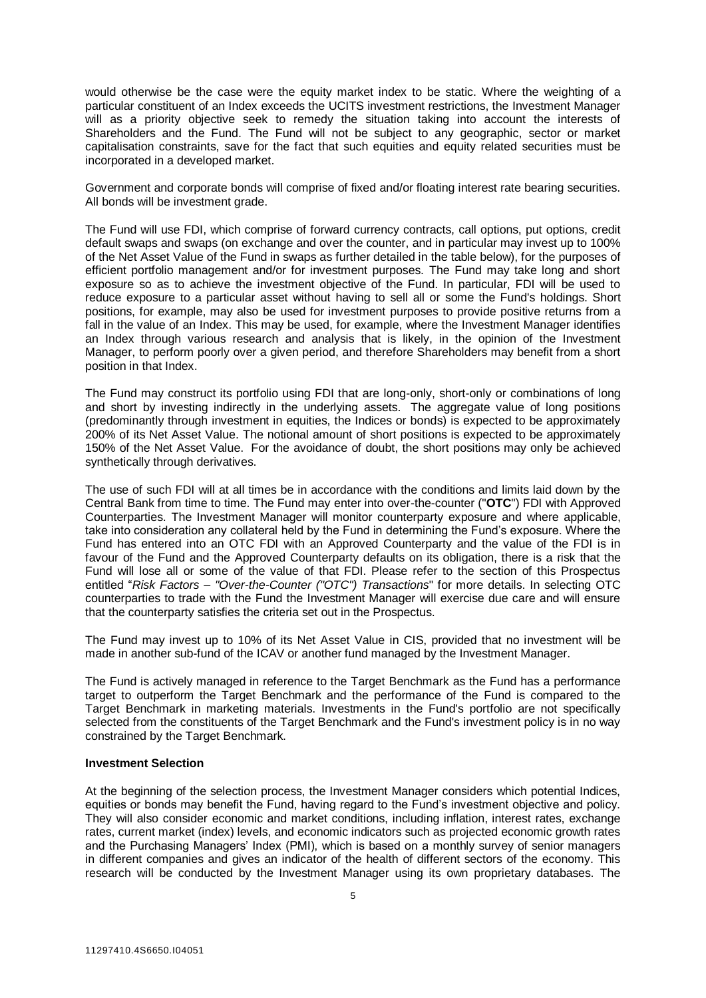would otherwise be the case were the equity market index to be static. Where the weighting of a particular constituent of an Index exceeds the UCITS investment restrictions, the Investment Manager will as a priority objective seek to remedy the situation taking into account the interests of Shareholders and the Fund. The Fund will not be subject to any geographic, sector or market capitalisation constraints, save for the fact that such equities and equity related securities must be incorporated in a developed market.

Government and corporate bonds will comprise of fixed and/or floating interest rate bearing securities. All bonds will be investment grade.

The Fund will use FDI, which comprise of forward currency contracts, call options, put options, credit default swaps and swaps (on exchange and over the counter, and in particular may invest up to 100% of the Net Asset Value of the Fund in swaps as further detailed in the table below), for the purposes of efficient portfolio management and/or for investment purposes. The Fund may take long and short exposure so as to achieve the investment objective of the Fund. In particular, FDI will be used to reduce exposure to a particular asset without having to sell all or some the Fund's holdings. Short positions, for example, may also be used for investment purposes to provide positive returns from a fall in the value of an Index. This may be used, for example, where the Investment Manager identifies an Index through various research and analysis that is likely, in the opinion of the Investment Manager, to perform poorly over a given period, and therefore Shareholders may benefit from a short position in that Index.

The Fund may construct its portfolio using FDI that are long-only, short-only or combinations of long and short by investing indirectly in the underlying assets. The aggregate value of long positions (predominantly through investment in equities, the Indices or bonds) is expected to be approximately 200% of its Net Asset Value. The notional amount of short positions is expected to be approximately 150% of the Net Asset Value. For the avoidance of doubt, the short positions may only be achieved synthetically through derivatives.

The use of such FDI will at all times be in accordance with the conditions and limits laid down by the Central Bank from time to time. The Fund may enter into over-the-counter ("**OTC**") FDI with Approved Counterparties. The Investment Manager will monitor counterparty exposure and where applicable, take into consideration any collateral held by the Fund in determining the Fund's exposure. Where the Fund has entered into an OTC FDI with an Approved Counterparty and the value of the FDI is in favour of the Fund and the Approved Counterparty defaults on its obligation, there is a risk that the Fund will lose all or some of the value of that FDI. Please refer to the section of this Prospectus entitled "*Risk Factors – "Over-the-Counter ("OTC") Transactions*" for more details. In selecting OTC counterparties to trade with the Fund the Investment Manager will exercise due care and will ensure that the counterparty satisfies the criteria set out in the Prospectus.

The Fund may invest up to 10% of its Net Asset Value in CIS, provided that no investment will be made in another sub-fund of the ICAV or another fund managed by the Investment Manager.

The Fund is actively managed in reference to the Target Benchmark as the Fund has a performance target to outperform the Target Benchmark and the performance of the Fund is compared to the Target Benchmark in marketing materials. Investments in the Fund's portfolio are not specifically selected from the constituents of the Target Benchmark and the Fund's investment policy is in no way constrained by the Target Benchmark.

#### **Investment Selection**

At the beginning of the selection process, the Investment Manager considers which potential Indices, equities or bonds may benefit the Fund, having regard to the Fund's investment objective and policy. They will also consider economic and market conditions, including inflation, interest rates, exchange rates, current market (index) levels, and economic indicators such as projected economic growth rates and the Purchasing Managers' Index (PMI), which is based on a monthly survey of senior managers in different companies and gives an indicator of the health of different sectors of the economy. This research will be conducted by the Investment Manager using its own proprietary databases. The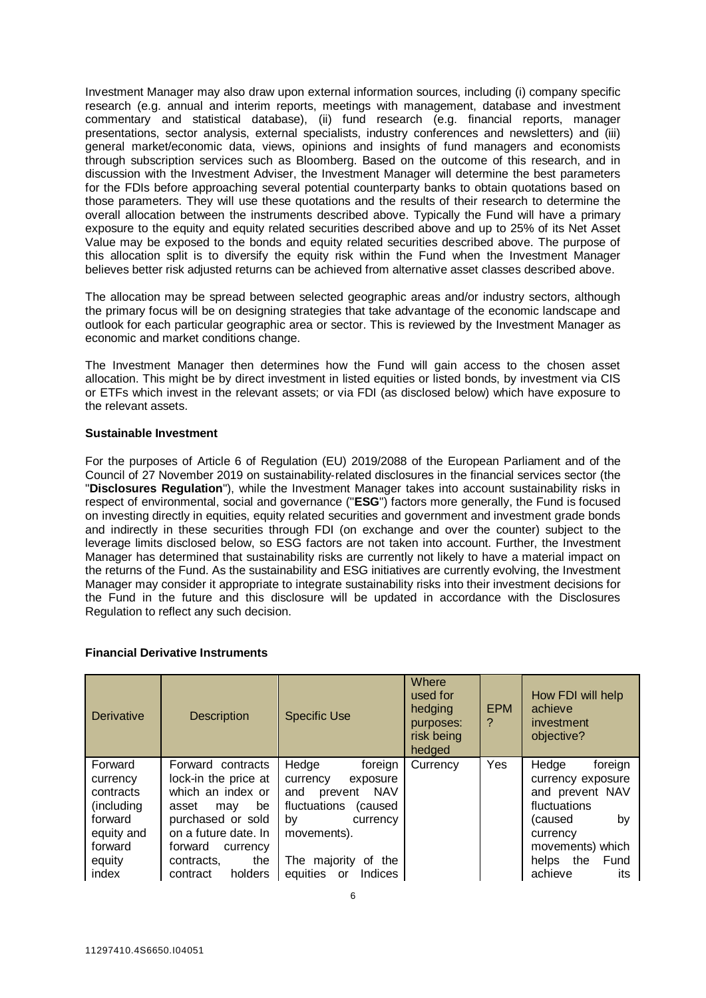Investment Manager may also draw upon external information sources, including (i) company specific research (e.g. annual and interim reports, meetings with management, database and investment commentary and statistical database), (ii) fund research (e.g. financial reports, manager presentations, sector analysis, external specialists, industry conferences and newsletters) and (iii) general market/economic data, views, opinions and insights of fund managers and economists through subscription services such as Bloomberg. Based on the outcome of this research, and in discussion with the Investment Adviser, the Investment Manager will determine the best parameters for the FDIs before approaching several potential counterparty banks to obtain quotations based on those parameters. They will use these quotations and the results of their research to determine the overall allocation between the instruments described above. Typically the Fund will have a primary exposure to the equity and equity related securities described above and up to 25% of its Net Asset Value may be exposed to the bonds and equity related securities described above. The purpose of this allocation split is to diversify the equity risk within the Fund when the Investment Manager believes better risk adjusted returns can be achieved from alternative asset classes described above.

The allocation may be spread between selected geographic areas and/or industry sectors, although the primary focus will be on designing strategies that take advantage of the economic landscape and outlook for each particular geographic area or sector. This is reviewed by the Investment Manager as economic and market conditions change.

The Investment Manager then determines how the Fund will gain access to the chosen asset allocation. This might be by direct investment in listed equities or listed bonds, by investment via CIS or ETFs which invest in the relevant assets; or via FDI (as disclosed below) which have exposure to the relevant assets.

# **Sustainable Investment**

For the purposes of Article 6 of Regulation (EU) 2019/2088 of the European Parliament and of the Council of 27 November 2019 on sustainability‐related disclosures in the financial services sector (the "**Disclosures Regulation**"), while the Investment Manager takes into account sustainability risks in respect of environmental, social and governance ("**ESG**") factors more generally, the Fund is focused on investing directly in equities, equity related securities and government and investment grade bonds and indirectly in these securities through FDI (on exchange and over the counter) subject to the leverage limits disclosed below, so ESG factors are not taken into account. Further, the Investment Manager has determined that sustainability risks are currently not likely to have a material impact on the returns of the Fund. As the sustainability and ESG initiatives are currently evolving, the Investment Manager may consider it appropriate to integrate sustainability risks into their investment decisions for the Fund in the future and this disclosure will be updated in accordance with the Disclosures Regulation to reflect any such decision.

# **Financial Derivative Instruments**

| Derivative                                                                                             | <b>Description</b>                                                                                                                                                                                   | <b>Specific Use</b>                                                                                                                                                                                | Where<br>used for<br>hedging<br>purposes:<br>risk being<br>hedged | <b>EPM</b><br>? | How FDI will help<br>achieve<br>investment<br>objective?                                                                                                         |
|--------------------------------------------------------------------------------------------------------|------------------------------------------------------------------------------------------------------------------------------------------------------------------------------------------------------|----------------------------------------------------------------------------------------------------------------------------------------------------------------------------------------------------|-------------------------------------------------------------------|-----------------|------------------------------------------------------------------------------------------------------------------------------------------------------------------|
| Forward<br>currency<br>contracts<br>(including)<br>forward<br>equity and<br>forward<br>equity<br>index | Forward contracts<br>lock-in the price at<br>which an index or<br>be<br>asset<br>may<br>purchased or sold<br>on a future date. In<br>forward<br>currency<br>the<br>contracts.<br>holders<br>contract | Hedge<br>foreign<br>currency<br>exposure<br><b>NAV</b><br>and<br>prevent<br>fluctuations<br>(caused<br>by<br>currency<br>movements).<br>The majority<br>of the<br>equities<br><b>Indices</b><br>or | Currency                                                          | Yes             | Hedge<br>foreign<br>currency exposure<br>and prevent NAV<br>fluctuations<br>by<br>(caused<br>currency<br>movements) which<br>helps the<br>Fund<br>achieve<br>its |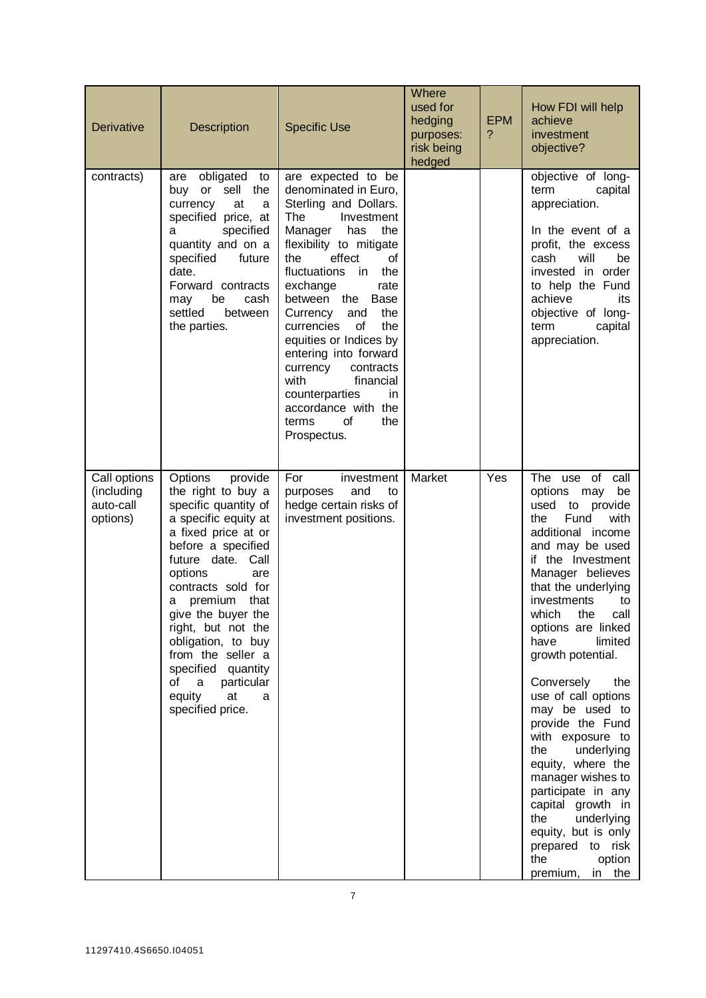| <b>Derivative</b>                                   | <b>Description</b>                                                                                                                                                                                                                                                                                                                                                                                      | <b>Specific Use</b>                                                                                                                                                                                                                                                                                                                                                                                                                                                                    | Where<br>used for<br>hedging<br>purposes:<br>risk being<br>hedged | <b>EPM</b><br>? | How FDI will help<br>achieve<br>investment<br>objective?                                                                                                                                                                                                                                                                                                                                                                                                                                                                                                                                                        |
|-----------------------------------------------------|---------------------------------------------------------------------------------------------------------------------------------------------------------------------------------------------------------------------------------------------------------------------------------------------------------------------------------------------------------------------------------------------------------|----------------------------------------------------------------------------------------------------------------------------------------------------------------------------------------------------------------------------------------------------------------------------------------------------------------------------------------------------------------------------------------------------------------------------------------------------------------------------------------|-------------------------------------------------------------------|-----------------|-----------------------------------------------------------------------------------------------------------------------------------------------------------------------------------------------------------------------------------------------------------------------------------------------------------------------------------------------------------------------------------------------------------------------------------------------------------------------------------------------------------------------------------------------------------------------------------------------------------------|
| contracts)                                          | obligated to<br>are<br>buy or sell the<br>currency<br>at<br>a<br>specified price, at<br>specified<br>a<br>quantity and on a<br>specified<br>future<br>date.<br>Forward contracts<br>be<br>cash<br>may<br>settled<br>between<br>the parties.                                                                                                                                                             | are expected to be<br>denominated in Euro,<br>Sterling and Dollars.<br>The<br>Investment<br>Manager<br>has<br>the<br>flexibility to mitigate<br>effect<br>the<br>οf<br>fluctuations<br>in<br>the<br>exchange<br>rate<br>between the<br>Base<br>the<br>Currency<br>and<br>currencies<br>the<br>0f<br>equities or Indices by<br>entering into forward<br>currency<br>contracts<br>with<br>financial<br>counterparties<br>in.<br>accordance with the<br>οf<br>terms<br>the<br>Prospectus. |                                                                   |                 | objective of long-<br>term<br>capital<br>appreciation.<br>In the event of a<br>profit, the excess<br>will<br>be<br>cash<br>invested in order<br>to help the Fund<br>achieve<br>its<br>objective of long-<br>term<br>capital<br>appreciation.                                                                                                                                                                                                                                                                                                                                                                    |
| Call options<br>(including<br>auto-call<br>options) | provide<br><b>Options</b><br>the right to buy a<br>specific quantity of<br>a specific equity at<br>a fixed price at or<br>before a specified<br>future date. Call<br>options<br>are<br>contracts sold for<br>premium that<br>a<br>give the buyer the<br>right, but not the<br>obligation, to buy<br>from the seller a<br>specified quantity<br>a particular<br>of<br>equity at<br>a<br>specified price. | For<br>investment<br>and<br>purposes<br>to<br>hedge certain risks of<br>investment positions.                                                                                                                                                                                                                                                                                                                                                                                          | Market                                                            | Yes             | The use of call<br>options may<br>be<br>used<br>to provide<br>Fund<br>with<br>the<br>additional income<br>and may be used<br>if the Investment<br>Manager believes<br>that the underlying<br>investments<br>to<br>which the call<br>options are linked<br>have<br>limited<br>growth potential.<br>Conversely<br>the<br>use of call options<br>may be used to<br>provide the Fund<br>with exposure to<br>the underlying<br>equity, where the<br>manager wishes to<br>participate in any<br>capital growth in<br>the<br>underlying<br>equity, but is only<br>prepared to risk<br>the<br>option<br>premium, in the |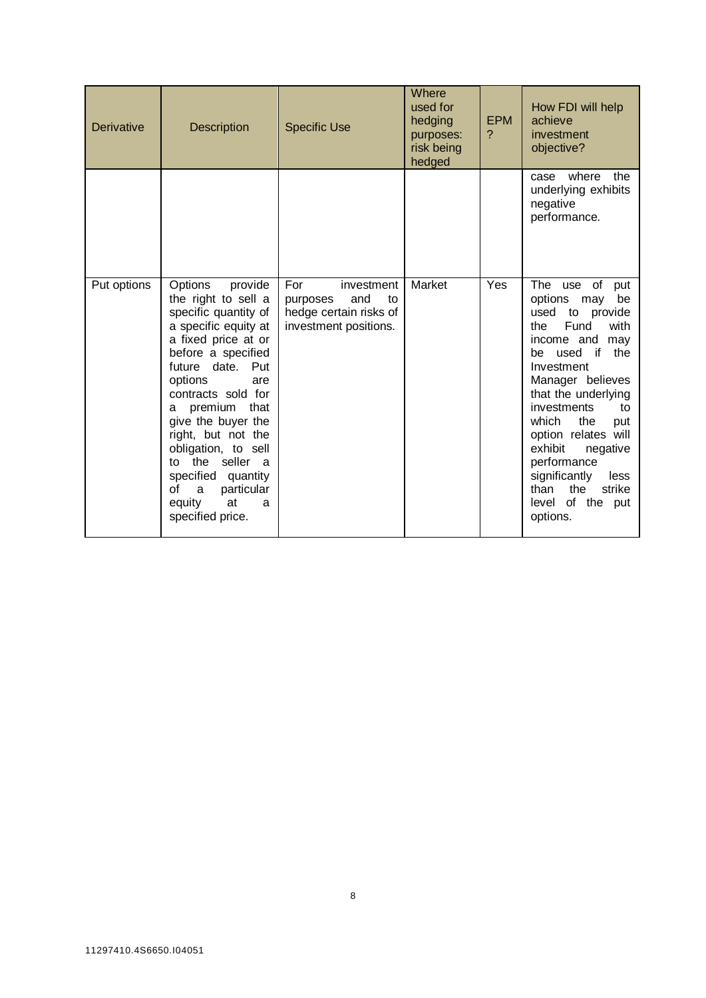| <b>Derivative</b> | <b>Description</b>                                                                                                                                                                                                                                                                                                                                                                                          | <b>Specific Use</b>                                                                           | Where<br>used for<br>hedging<br>purposes:<br>risk being<br>hedged | <b>EPM</b><br>? | How FDI will help<br>achieve<br>investment<br>objective?                                                                                                                                                                                                                                                                                                                             |
|-------------------|-------------------------------------------------------------------------------------------------------------------------------------------------------------------------------------------------------------------------------------------------------------------------------------------------------------------------------------------------------------------------------------------------------------|-----------------------------------------------------------------------------------------------|-------------------------------------------------------------------|-----------------|--------------------------------------------------------------------------------------------------------------------------------------------------------------------------------------------------------------------------------------------------------------------------------------------------------------------------------------------------------------------------------------|
|                   |                                                                                                                                                                                                                                                                                                                                                                                                             |                                                                                               |                                                                   |                 | where<br>the<br>case<br>underlying exhibits<br>negative<br>performance.                                                                                                                                                                                                                                                                                                              |
| Put options       | Options<br>provide<br>the right to sell a<br>specific quantity of<br>a specific equity at<br>a fixed price at or<br>before a specified<br>future date.<br>Put<br>options<br>are<br>contracts sold for<br>premium that<br>a<br>give the buyer the<br>right, but not the<br>obligation, to sell<br>the seller a<br>tο<br>specified quantity<br>particular<br>οf<br>a<br>equity<br>at<br>a<br>specified price. | For<br>investment<br>and<br>to<br>purposes<br>hedge certain risks of<br>investment positions. | Market                                                            | Yes             | The use of put<br>options may<br>be<br>used<br>to provide<br>Fund<br>with<br>the<br>income and<br>may<br>the<br>used<br>if<br>be<br>Investment<br>Manager believes<br>that the underlying<br>investments<br>to<br>which<br>the<br>put<br>option relates will<br>exhibit<br>negative<br>performance<br>significantly<br>less<br>than<br>the<br>strike<br>level of the put<br>options. |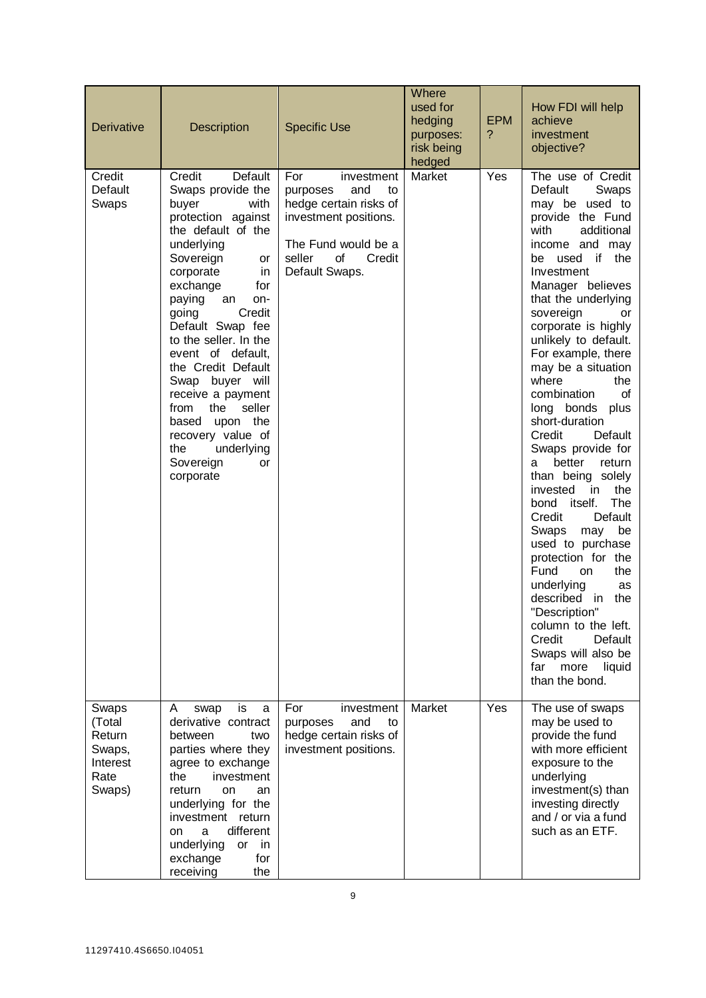| <b>Derivative</b>                                                 | <b>Description</b>                                                                                                                                                                                                                                                                                                                                                                                                                                                        | <b>Specific Use</b>                                                                                                                                              | Where<br>used for<br>hedging<br>purposes:<br>risk being<br>hedged | <b>EPM</b><br>? | How FDI will help<br>achieve<br>investment<br>objective?                                                                                                                                                                                                                                                                                                                                                                                                                                                                                                                                                                                                                                                                                                                                                                           |
|-------------------------------------------------------------------|---------------------------------------------------------------------------------------------------------------------------------------------------------------------------------------------------------------------------------------------------------------------------------------------------------------------------------------------------------------------------------------------------------------------------------------------------------------------------|------------------------------------------------------------------------------------------------------------------------------------------------------------------|-------------------------------------------------------------------|-----------------|------------------------------------------------------------------------------------------------------------------------------------------------------------------------------------------------------------------------------------------------------------------------------------------------------------------------------------------------------------------------------------------------------------------------------------------------------------------------------------------------------------------------------------------------------------------------------------------------------------------------------------------------------------------------------------------------------------------------------------------------------------------------------------------------------------------------------------|
| Credit<br>Default<br>Swaps                                        | Credit<br>Default<br>Swaps provide the<br>buyer<br>with<br>protection against<br>the default of the<br>underlying<br>Sovereign<br>or<br>corporate<br>in<br>exchange<br>for<br>paying<br>an<br>on-<br>going<br>Credit<br>Default Swap fee<br>to the seller. In the<br>event of default,<br>the Credit Default<br>Swap buyer will<br>receive a payment<br>the<br>seller<br>from<br>based upon the<br>recovery value of<br>underlying<br>the<br>Sovereign<br>or<br>corporate | For<br>investment<br>and<br>to<br>purposes<br>hedge certain risks of<br>investment positions.<br>The Fund would be a<br>seller<br>of<br>Credit<br>Default Swaps. | Market                                                            | Yes             | The use of Credit<br>Default<br>Swaps<br>may be used to<br>provide the Fund<br>with<br>additional<br>income and may<br>used if the<br>be<br>Investment<br>Manager believes<br>that the underlying<br>sovereign<br>or<br>corporate is highly<br>unlikely to default.<br>For example, there<br>may be a situation<br>where<br>the<br>combination<br>οf<br>long bonds<br>plus<br>short-duration<br>Credit<br>Default<br>Swaps provide for<br>better<br>return<br>a<br>than being solely<br>invested<br>the<br>in.<br><b>The</b><br>bond<br>itself.<br>Credit<br>Default<br>be<br>Swaps<br>may<br>used to purchase<br>protection for the<br>Fund<br>the<br>on<br>underlying<br>as<br>described in<br>the<br>"Description"<br>column to the left.<br>Credit<br>Default<br>Swaps will also be<br>far<br>more<br>liquid<br>than the bond. |
| Swaps<br>(Total<br>Return<br>Swaps,<br>Interest<br>Rate<br>Swaps) | is<br>A<br>swap<br>a<br>derivative contract<br>between<br>two<br>parties where they<br>agree to exchange<br>the<br>investment<br>return<br><b>on</b><br>an<br>underlying for the<br>investment return<br>different<br>a<br>on<br>underlying<br><b>or</b><br>in<br>exchange<br>for<br>receiving<br>the                                                                                                                                                                     | For<br>investment<br>and<br>purposes<br>to<br>hedge certain risks of<br>investment positions.                                                                    | Market                                                            | Yes             | The use of swaps<br>may be used to<br>provide the fund<br>with more efficient<br>exposure to the<br>underlying<br>investment(s) than<br>investing directly<br>and / or via a fund<br>such as an ETF.                                                                                                                                                                                                                                                                                                                                                                                                                                                                                                                                                                                                                               |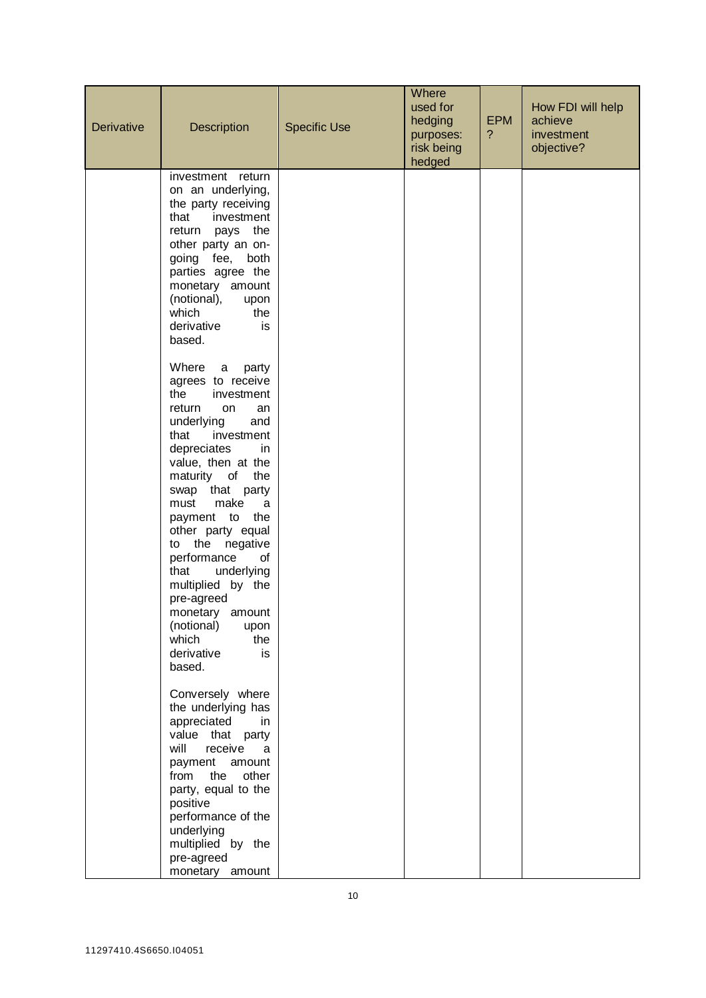| Derivative | <b>Description</b>                                                                                                                                                                                                                                                                                                                                                                                                                                                     | <b>Specific Use</b> | Where<br>used for<br>hedging<br>purposes:<br>risk being<br>hedged | <b>EPM</b><br>$\overline{?}$ | How FDI will help<br>achieve<br>investment<br>objective? |
|------------|------------------------------------------------------------------------------------------------------------------------------------------------------------------------------------------------------------------------------------------------------------------------------------------------------------------------------------------------------------------------------------------------------------------------------------------------------------------------|---------------------|-------------------------------------------------------------------|------------------------------|----------------------------------------------------------|
|            | investment return<br>on an underlying,<br>the party receiving<br>that<br>investment<br>return pays the<br>other party an on-<br>going fee, both<br>parties agree the<br>monetary amount<br>(notional),<br>upon<br>which<br>the<br>derivative<br>is<br>based.                                                                                                                                                                                                           |                     |                                                                   |                              |                                                          |
|            | Where<br>party<br>a<br>agrees to receive<br>the<br>investment<br>return<br>on<br>an<br>underlying<br>and<br>that<br>investment<br>depreciates<br>in<br>value, then at the<br>maturity of<br>the<br>swap that party<br>make<br>must<br>a<br>payment to the<br>other party equal<br>to the negative<br>performance<br>of<br>underlying<br>that<br>multiplied by the<br>pre-agreed<br>monetary amount<br>(notional)<br>upon<br>which<br>the<br>derivative<br>is<br>based. |                     |                                                                   |                              |                                                          |
|            | Conversely where<br>the underlying has<br>appreciated<br>in<br>value that party<br>will<br>receive<br>a<br>payment<br>amount<br>other<br>from<br>the<br>party, equal to the<br>positive<br>performance of the<br>underlying<br>multiplied by the<br>pre-agreed<br>monetary amount                                                                                                                                                                                      |                     |                                                                   |                              |                                                          |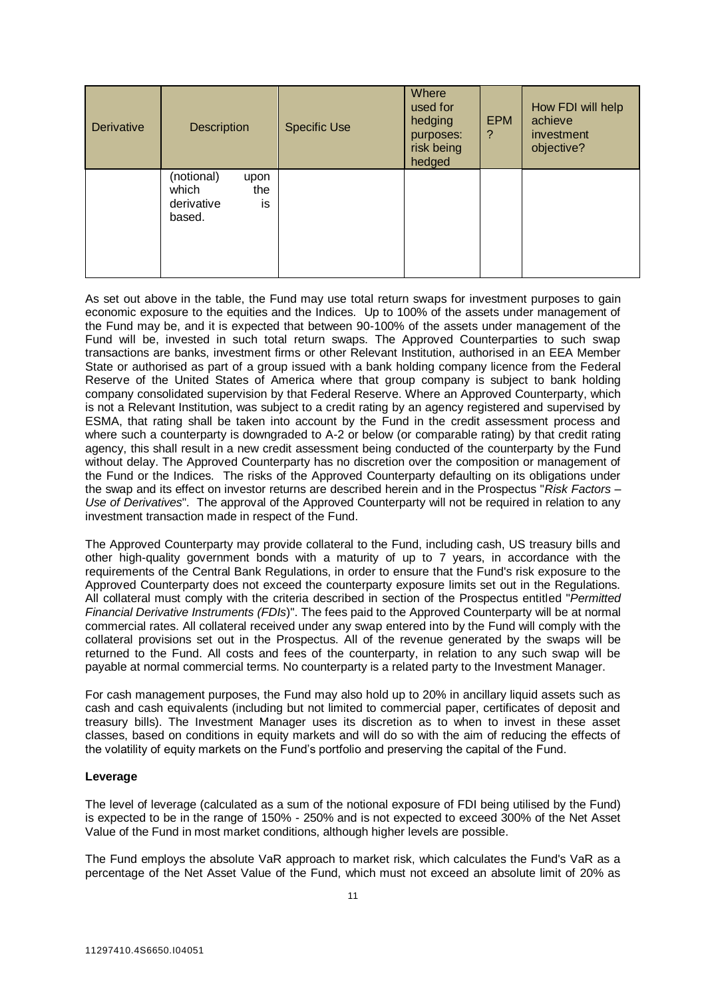| <b>Derivative</b> | <b>Description</b>                                               | <b>Specific Use</b> | Where<br>used for<br>hedging<br>purposes:<br>risk being<br>hedged | <b>EPM</b><br>? | How FDI will help<br>achieve<br>investment<br>objective? |
|-------------------|------------------------------------------------------------------|---------------------|-------------------------------------------------------------------|-----------------|----------------------------------------------------------|
|                   | (notional)<br>upon<br>which<br>the<br>is<br>derivative<br>based. |                     |                                                                   |                 |                                                          |

As set out above in the table, the Fund may use total return swaps for investment purposes to gain economic exposure to the equities and the Indices. Up to 100% of the assets under management of the Fund may be, and it is expected that between 90-100% of the assets under management of the Fund will be, invested in such total return swaps. The Approved Counterparties to such swap transactions are banks, investment firms or other Relevant Institution, authorised in an EEA Member State or authorised as part of a group issued with a bank holding company licence from the Federal Reserve of the United States of America where that group company is subject to bank holding company consolidated supervision by that Federal Reserve. Where an Approved Counterparty, which is not a Relevant Institution, was subject to a credit rating by an agency registered and supervised by ESMA, that rating shall be taken into account by the Fund in the credit assessment process and where such a counterparty is downgraded to A-2 or below (or comparable rating) by that credit rating agency, this shall result in a new credit assessment being conducted of the counterparty by the Fund without delay. The Approved Counterparty has no discretion over the composition or management of the Fund or the Indices. The risks of the Approved Counterparty defaulting on its obligations under the swap and its effect on investor returns are described herein and in the Prospectus "*Risk Factors – Use of Derivatives*". The approval of the Approved Counterparty will not be required in relation to any investment transaction made in respect of the Fund.

The Approved Counterparty may provide collateral to the Fund, including cash, US treasury bills and other high-quality government bonds with a maturity of up to 7 years, in accordance with the requirements of the Central Bank Regulations, in order to ensure that the Fund's risk exposure to the Approved Counterparty does not exceed the counterparty exposure limits set out in the Regulations. All collateral must comply with the criteria described in section of the Prospectus entitled "*Permitted Financial Derivative Instruments (FDIs*)". The fees paid to the Approved Counterparty will be at normal commercial rates. All collateral received under any swap entered into by the Fund will comply with the collateral provisions set out in the Prospectus. All of the revenue generated by the swaps will be returned to the Fund. All costs and fees of the counterparty, in relation to any such swap will be payable at normal commercial terms. No counterparty is a related party to the Investment Manager.

For cash management purposes, the Fund may also hold up to 20% in ancillary liquid assets such as cash and cash equivalents (including but not limited to commercial paper, certificates of deposit and treasury bills). The Investment Manager uses its discretion as to when to invest in these asset classes, based on conditions in equity markets and will do so with the aim of reducing the effects of the volatility of equity markets on the Fund's portfolio and preserving the capital of the Fund.

# **Leverage**

The level of leverage (calculated as a sum of the notional exposure of FDI being utilised by the Fund) is expected to be in the range of 150% - 250% and is not expected to exceed 300% of the Net Asset Value of the Fund in most market conditions, although higher levels are possible.

The Fund employs the absolute VaR approach to market risk, which calculates the Fund's VaR as a percentage of the Net Asset Value of the Fund, which must not exceed an absolute limit of 20% as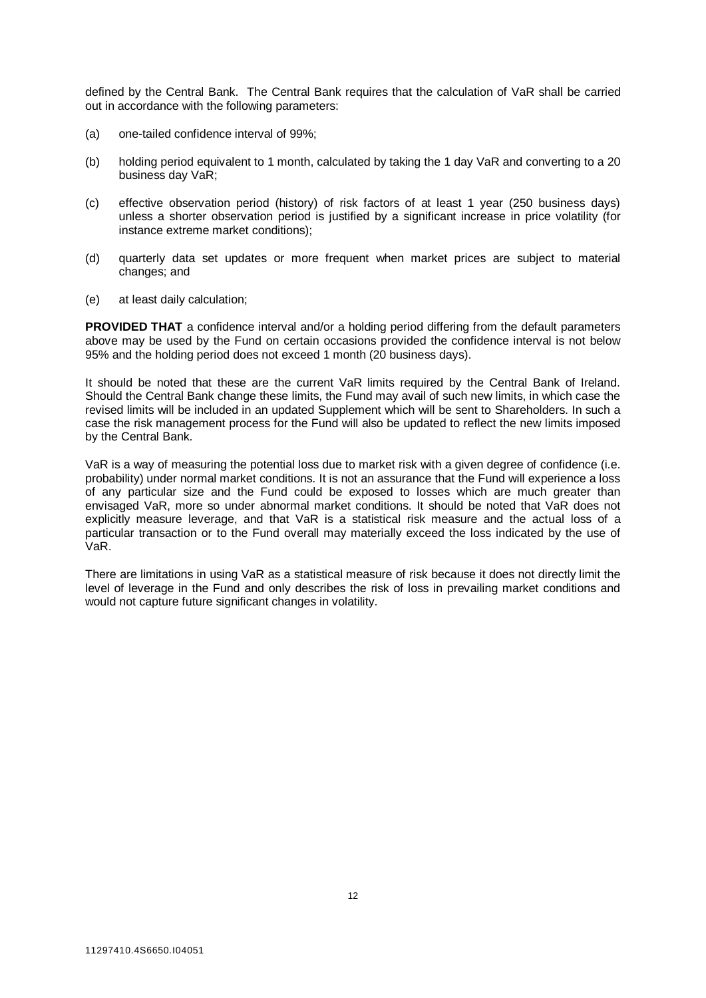defined by the Central Bank. The Central Bank requires that the calculation of VaR shall be carried out in accordance with the following parameters:

- (a) one-tailed confidence interval of 99%;
- (b) holding period equivalent to 1 month, calculated by taking the 1 day VaR and converting to a 20 business day VaR;
- (c) effective observation period (history) of risk factors of at least 1 year (250 business days) unless a shorter observation period is justified by a significant increase in price volatility (for instance extreme market conditions);
- (d) quarterly data set updates or more frequent when market prices are subject to material changes; and
- (e) at least daily calculation;

**PROVIDED THAT** a confidence interval and/or a holding period differing from the default parameters above may be used by the Fund on certain occasions provided the confidence interval is not below 95% and the holding period does not exceed 1 month (20 business days).

It should be noted that these are the current VaR limits required by the Central Bank of Ireland. Should the Central Bank change these limits, the Fund may avail of such new limits, in which case the revised limits will be included in an updated Supplement which will be sent to Shareholders. In such a case the risk management process for the Fund will also be updated to reflect the new limits imposed by the Central Bank.

VaR is a way of measuring the potential loss due to market risk with a given degree of confidence (i.e. probability) under normal market conditions. It is not an assurance that the Fund will experience a loss of any particular size and the Fund could be exposed to losses which are much greater than envisaged VaR, more so under abnormal market conditions. It should be noted that VaR does not explicitly measure leverage, and that VaR is a statistical risk measure and the actual loss of a particular transaction or to the Fund overall may materially exceed the loss indicated by the use of VaR.

There are limitations in using VaR as a statistical measure of risk because it does not directly limit the level of leverage in the Fund and only describes the risk of loss in prevailing market conditions and would not capture future significant changes in volatility.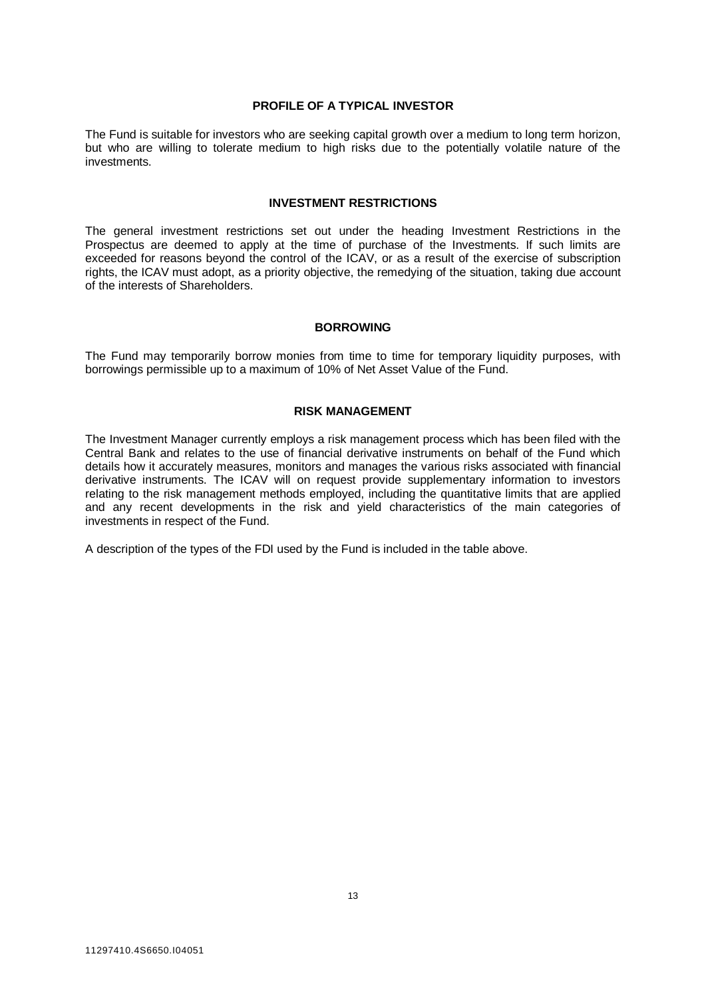# **PROFILE OF A TYPICAL INVESTOR**

<span id="page-12-0"></span>The Fund is suitable for investors who are seeking capital growth over a medium to long term horizon, but who are willing to tolerate medium to high risks due to the potentially volatile nature of the investments.

# **INVESTMENT RESTRICTIONS**

<span id="page-12-1"></span>The general investment restrictions set out under the heading Investment Restrictions in the Prospectus are deemed to apply at the time of purchase of the Investments. If such limits are exceeded for reasons beyond the control of the ICAV, or as a result of the exercise of subscription rights, the ICAV must adopt, as a priority objective, the remedying of the situation, taking due account of the interests of Shareholders.

# **BORROWING**

<span id="page-12-3"></span><span id="page-12-2"></span>The Fund may temporarily borrow monies from time to time for temporary liquidity purposes, with borrowings permissible up to a maximum of 10% of Net Asset Value of the Fund.

# **RISK MANAGEMENT**

The Investment Manager currently employs a risk management process which has been filed with the Central Bank and relates to the use of financial derivative instruments on behalf of the Fund which details how it accurately measures, monitors and manages the various risks associated with financial derivative instruments. The ICAV will on request provide supplementary information to investors relating to the risk management methods employed, including the quantitative limits that are applied and any recent developments in the risk and yield characteristics of the main categories of investments in respect of the Fund.

A description of the types of the FDI used by the Fund is included in the table above.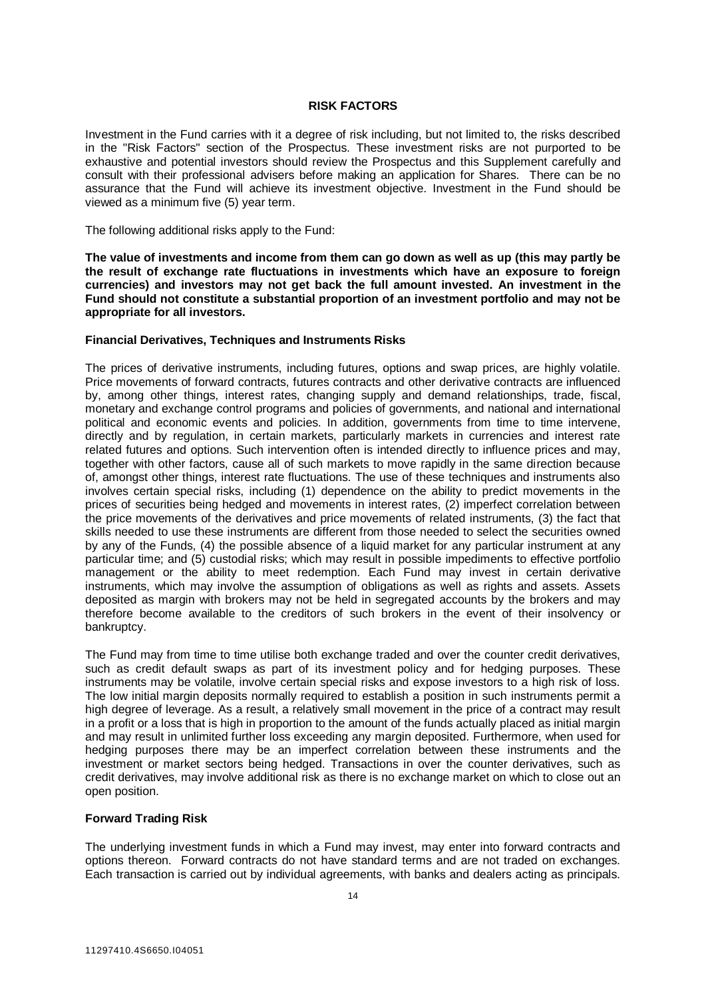# **RISK FACTORS**

<span id="page-13-0"></span>Investment in the Fund carries with it a degree of risk including, but not limited to, the risks described in the "Risk Factors" section of the Prospectus. These investment risks are not purported to be exhaustive and potential investors should review the Prospectus and this Supplement carefully and consult with their professional advisers before making an application for Shares. There can be no assurance that the Fund will achieve its investment objective. Investment in the Fund should be viewed as a minimum five (5) year term.

The following additional risks apply to the Fund:

**The value of investments and income from them can go down as well as up (this may partly be the result of exchange rate fluctuations in investments which have an exposure to foreign currencies) and investors may not get back the full amount invested. An investment in the Fund should not constitute a substantial proportion of an investment portfolio and may not be appropriate for all investors.** 

# **Financial Derivatives, Techniques and Instruments Risks**

The prices of derivative instruments, including futures, options and swap prices, are highly volatile. Price movements of forward contracts, futures contracts and other derivative contracts are influenced by, among other things, interest rates, changing supply and demand relationships, trade, fiscal, monetary and exchange control programs and policies of governments, and national and international political and economic events and policies. In addition, governments from time to time intervene, directly and by regulation, in certain markets, particularly markets in currencies and interest rate related futures and options. Such intervention often is intended directly to influence prices and may, together with other factors, cause all of such markets to move rapidly in the same direction because of, amongst other things, interest rate fluctuations. The use of these techniques and instruments also involves certain special risks, including (1) dependence on the ability to predict movements in the prices of securities being hedged and movements in interest rates, (2) imperfect correlation between the price movements of the derivatives and price movements of related instruments, (3) the fact that skills needed to use these instruments are different from those needed to select the securities owned by any of the Funds, (4) the possible absence of a liquid market for any particular instrument at any particular time; and (5) custodial risks; which may result in possible impediments to effective portfolio management or the ability to meet redemption. Each Fund may invest in certain derivative instruments, which may involve the assumption of obligations as well as rights and assets. Assets deposited as margin with brokers may not be held in segregated accounts by the brokers and may therefore become available to the creditors of such brokers in the event of their insolvency or bankruptcy.

The Fund may from time to time utilise both exchange traded and over the counter credit derivatives, such as credit default swaps as part of its investment policy and for hedging purposes. These instruments may be volatile, involve certain special risks and expose investors to a high risk of loss. The low initial margin deposits normally required to establish a position in such instruments permit a high degree of leverage. As a result, a relatively small movement in the price of a contract may result in a profit or a loss that is high in proportion to the amount of the funds actually placed as initial margin and may result in unlimited further loss exceeding any margin deposited. Furthermore, when used for hedging purposes there may be an imperfect correlation between these instruments and the investment or market sectors being hedged. Transactions in over the counter derivatives, such as credit derivatives, may involve additional risk as there is no exchange market on which to close out an open position.

# **Forward Trading Risk**

The underlying investment funds in which a Fund may invest, may enter into forward contracts and options thereon. Forward contracts do not have standard terms and are not traded on exchanges. Each transaction is carried out by individual agreements, with banks and dealers acting as principals.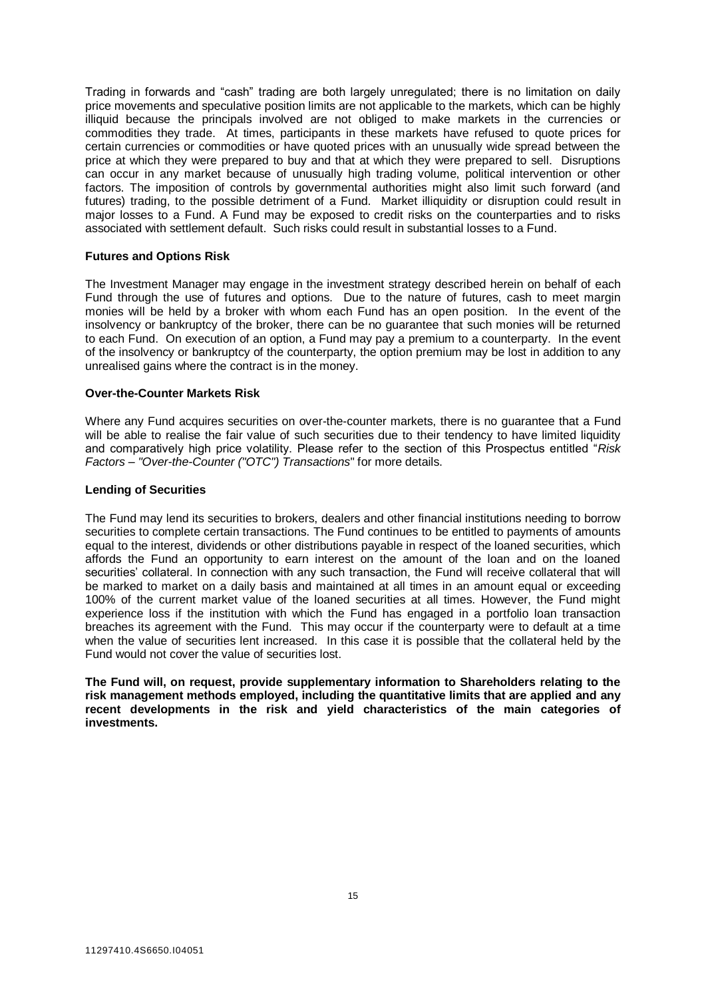Trading in forwards and "cash" trading are both largely unregulated; there is no limitation on daily price movements and speculative position limits are not applicable to the markets, which can be highly illiquid because the principals involved are not obliged to make markets in the currencies or commodities they trade. At times, participants in these markets have refused to quote prices for certain currencies or commodities or have quoted prices with an unusually wide spread between the price at which they were prepared to buy and that at which they were prepared to sell. Disruptions can occur in any market because of unusually high trading volume, political intervention or other factors. The imposition of controls by governmental authorities might also limit such forward (and futures) trading, to the possible detriment of a Fund. Market illiquidity or disruption could result in major losses to a Fund. A Fund may be exposed to credit risks on the counterparties and to risks associated with settlement default. Such risks could result in substantial losses to a Fund.

#### **Futures and Options Risk**

The Investment Manager may engage in the investment strategy described herein on behalf of each Fund through the use of futures and options. Due to the nature of futures, cash to meet margin monies will be held by a broker with whom each Fund has an open position. In the event of the insolvency or bankruptcy of the broker, there can be no guarantee that such monies will be returned to each Fund. On execution of an option, a Fund may pay a premium to a counterparty. In the event of the insolvency or bankruptcy of the counterparty, the option premium may be lost in addition to any unrealised gains where the contract is in the money.

# **Over-the-Counter Markets Risk**

Where any Fund acquires securities on over-the-counter markets, there is no guarantee that a Fund will be able to realise the fair value of such securities due to their tendency to have limited liquidity and comparatively high price volatility. Please refer to the section of this Prospectus entitled "*Risk Factors – "Over-the-Counter ("OTC") Transactions*" for more details.

#### **Lending of Securities**

The Fund may lend its securities to brokers, dealers and other financial institutions needing to borrow securities to complete certain transactions. The Fund continues to be entitled to payments of amounts equal to the interest, dividends or other distributions payable in respect of the loaned securities, which affords the Fund an opportunity to earn interest on the amount of the loan and on the loaned securities' collateral. In connection with any such transaction, the Fund will receive collateral that will be marked to market on a daily basis and maintained at all times in an amount equal or exceeding 100% of the current market value of the loaned securities at all times. However, the Fund might experience loss if the institution with which the Fund has engaged in a portfolio loan transaction breaches its agreement with the Fund. This may occur if the counterparty were to default at a time when the value of securities lent increased. In this case it is possible that the collateral held by the Fund would not cover the value of securities lost.

**The Fund will, on request, provide supplementary information to Shareholders relating to the risk management methods employed, including the quantitative limits that are applied and any recent developments in the risk and yield characteristics of the main categories of investments.**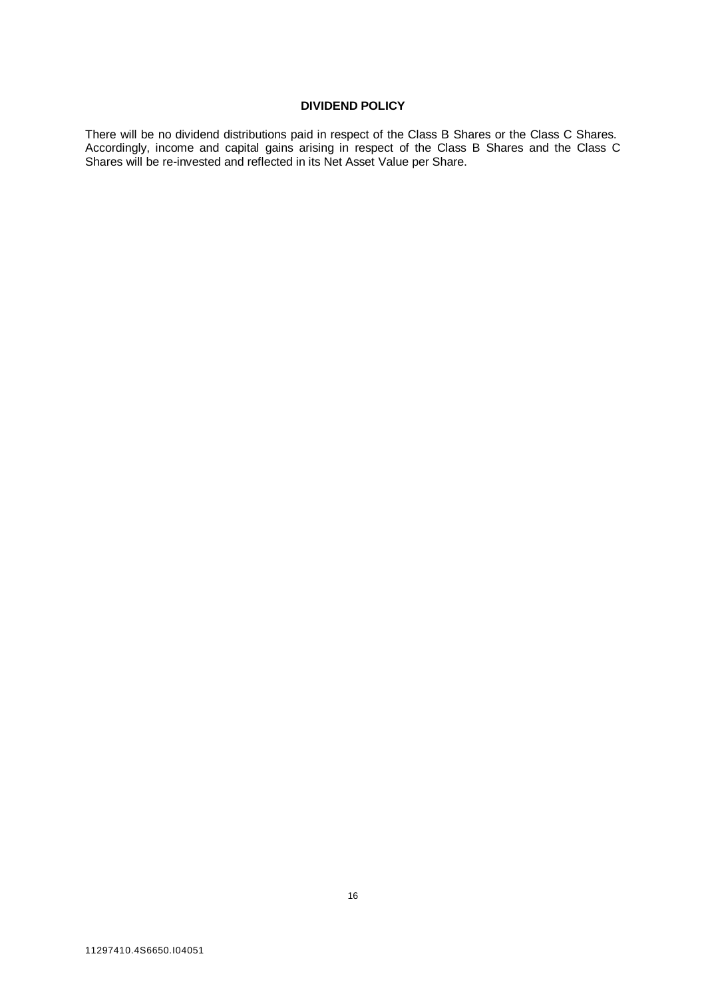# **DIVIDEND POLICY**

<span id="page-15-0"></span>There will be no dividend distributions paid in respect of the Class B Shares or the Class C Shares. Accordingly, income and capital gains arising in respect of the Class B Shares and the Class C Shares will be re-invested and reflected in its Net Asset Value per Share.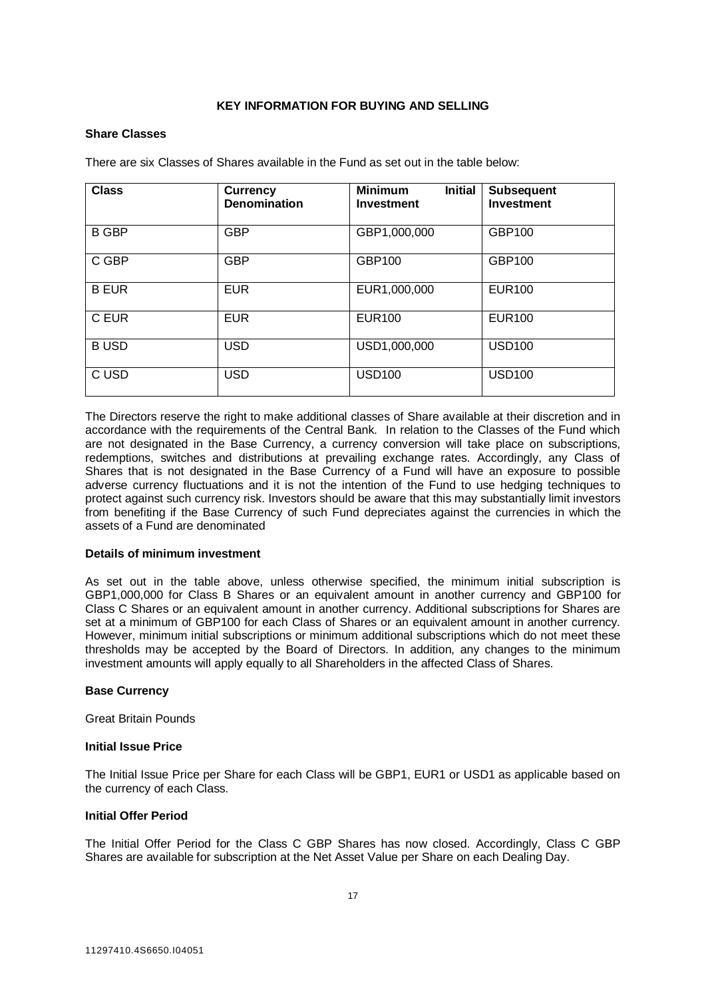# **KEY INFORMATION FOR BUYING AND SELLING**

# <span id="page-16-0"></span>**Share Classes**

There are six Classes of Shares available in the Fund as set out in the table below:

| <b>Class</b> | <b>Currency</b><br><b>Denomination</b> | <b>Minimum</b><br><b>Initial</b><br><b>Investment</b> | <b>Subsequent</b><br><b>Investment</b> |
|--------------|----------------------------------------|-------------------------------------------------------|----------------------------------------|
| <b>B GBP</b> | <b>GBP</b>                             | GBP1,000,000                                          | GBP100                                 |
| C GBP        | <b>GBP</b>                             | GBP100                                                | GBP100                                 |
| <b>B EUR</b> | <b>EUR</b>                             | EUR1,000,000                                          | <b>EUR100</b>                          |
| C EUR        | <b>EUR</b>                             | <b>EUR100</b>                                         | <b>EUR100</b>                          |
| <b>BUSD</b>  | <b>USD</b>                             | USD1,000,000                                          | <b>USD100</b>                          |
| C USD        | <b>USD</b>                             | <b>USD100</b>                                         | <b>USD100</b>                          |

The Directors reserve the right to make additional classes of Share available at their discretion and in accordance with the requirements of the Central Bank. In relation to the Classes of the Fund which are not designated in the Base Currency, a currency conversion will take place on subscriptions, redemptions, switches and distributions at prevailing exchange rates. Accordingly, any Class of Shares that is not designated in the Base Currency of a Fund will have an exposure to possible adverse currency fluctuations and it is not the intention of the Fund to use hedging techniques to protect against such currency risk. Investors should be aware that this may substantially limit investors from benefiting if the Base Currency of such Fund depreciates against the currencies in which the assets of a Fund are denominated

# **Details of minimum investment**

As set out in the table above, unless otherwise specified, the minimum initial subscription is GBP1,000,000 for Class B Shares or an equivalent amount in another currency and GBP100 for Class C Shares or an equivalent amount in another currency. Additional subscriptions for Shares are set at a minimum of GBP100 for each Class of Shares or an equivalent amount in another currency. However, minimum initial subscriptions or minimum additional subscriptions which do not meet these thresholds may be accepted by the Board of Directors. In addition, any changes to the minimum investment amounts will apply equally to all Shareholders in the affected Class of Shares.

# **Base Currency**

Great Britain Pounds

# **Initial Issue Price**

The Initial Issue Price per Share for each Class will be GBP1, EUR1 or USD1 as applicable based on the currency of each Class.

# **Initial Offer Period**

The Initial Offer Period for the Class C GBP Shares has now closed. Accordingly, Class C GBP Shares are available for subscription at the Net Asset Value per Share on each Dealing Day.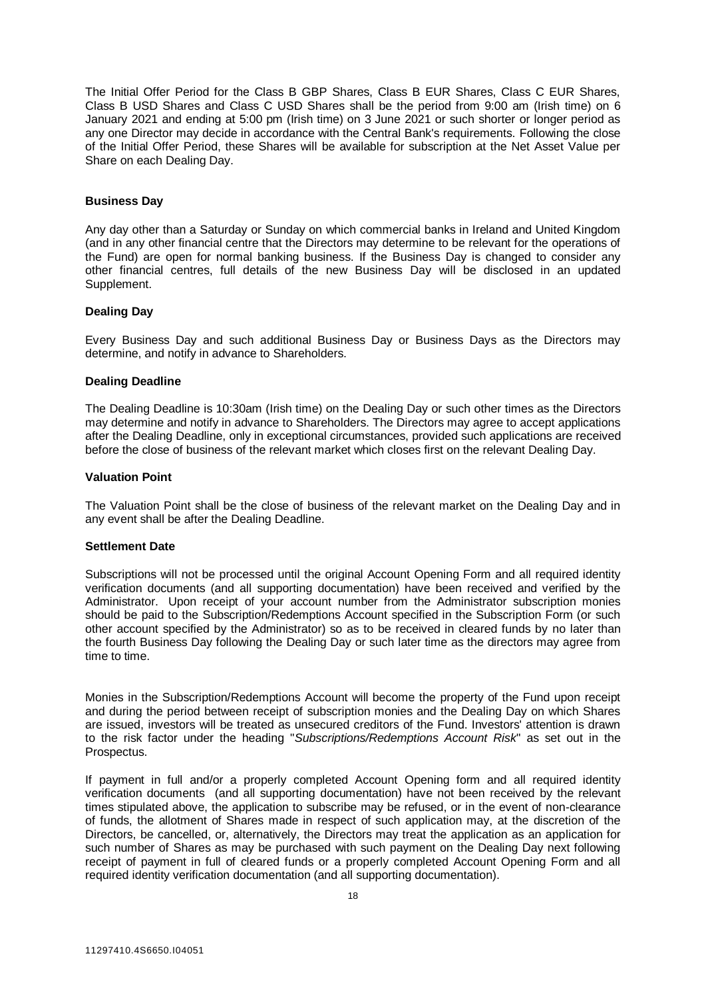The Initial Offer Period for the Class B GBP Shares, Class B EUR Shares, Class C EUR Shares, Class B USD Shares and Class C USD Shares shall be the period from 9:00 am (Irish time) on 6 January 2021 and ending at 5:00 pm (Irish time) on 3 June 2021 or such shorter or longer period as any one Director may decide in accordance with the Central Bank's requirements. Following the close of the Initial Offer Period, these Shares will be available for subscription at the Net Asset Value per Share on each Dealing Day.

# **Business Day**

Any day other than a Saturday or Sunday on which commercial banks in Ireland and United Kingdom (and in any other financial centre that the Directors may determine to be relevant for the operations of the Fund) are open for normal banking business. If the Business Day is changed to consider any other financial centres, full details of the new Business Day will be disclosed in an updated Supplement.

# **Dealing Day**

Every Business Day and such additional Business Day or Business Days as the Directors may determine, and notify in advance to Shareholders.

# **Dealing Deadline**

The Dealing Deadline is 10:30am (Irish time) on the Dealing Day or such other times as the Directors may determine and notify in advance to Shareholders. The Directors may agree to accept applications after the Dealing Deadline, only in exceptional circumstances, provided such applications are received before the close of business of the relevant market which closes first on the relevant Dealing Day.

# **Valuation Point**

The Valuation Point shall be the close of business of the relevant market on the Dealing Day and in any event shall be after the Dealing Deadline.

# **Settlement Date**

Subscriptions will not be processed until the original Account Opening Form and all required identity verification documents (and all supporting documentation) have been received and verified by the Administrator. Upon receipt of your account number from the Administrator subscription monies should be paid to the Subscription/Redemptions Account specified in the Subscription Form (or such other account specified by the Administrator) so as to be received in cleared funds by no later than the fourth Business Day following the Dealing Day or such later time as the directors may agree from time to time.

Monies in the Subscription/Redemptions Account will become the property of the Fund upon receipt and during the period between receipt of subscription monies and the Dealing Day on which Shares are issued, investors will be treated as unsecured creditors of the Fund. Investors' attention is drawn to the risk factor under the heading "*Subscriptions/Redemptions Account Risk*" as set out in the Prospectus.

If payment in full and/or a properly completed Account Opening form and all required identity verification documents (and all supporting documentation) have not been received by the relevant times stipulated above, the application to subscribe may be refused, or in the event of non-clearance of funds, the allotment of Shares made in respect of such application may, at the discretion of the Directors, be cancelled, or, alternatively, the Directors may treat the application as an application for such number of Shares as may be purchased with such payment on the Dealing Day next following receipt of payment in full of cleared funds or a properly completed Account Opening Form and all required identity verification documentation (and all supporting documentation).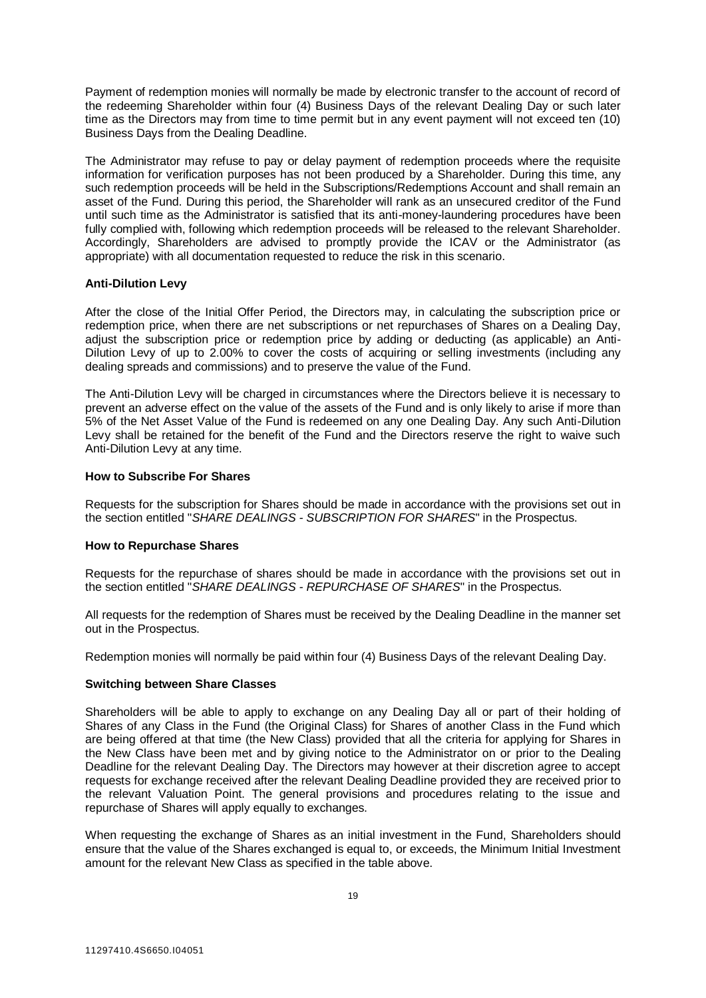Payment of redemption monies will normally be made by electronic transfer to the account of record of the redeeming Shareholder within four (4) Business Days of the relevant Dealing Day or such later time as the Directors may from time to time permit but in any event payment will not exceed ten (10) Business Days from the Dealing Deadline.

The Administrator may refuse to pay or delay payment of redemption proceeds where the requisite information for verification purposes has not been produced by a Shareholder. During this time, any such redemption proceeds will be held in the Subscriptions/Redemptions Account and shall remain an asset of the Fund. During this period, the Shareholder will rank as an unsecured creditor of the Fund until such time as the Administrator is satisfied that its anti-money-laundering procedures have been fully complied with, following which redemption proceeds will be released to the relevant Shareholder. Accordingly, Shareholders are advised to promptly provide the ICAV or the Administrator (as appropriate) with all documentation requested to reduce the risk in this scenario.

# **Anti-Dilution Levy**

After the close of the Initial Offer Period, the Directors may, in calculating the subscription price or redemption price, when there are net subscriptions or net repurchases of Shares on a Dealing Day, adjust the subscription price or redemption price by adding or deducting (as applicable) an Anti-Dilution Levy of up to 2.00% to cover the costs of acquiring or selling investments (including any dealing spreads and commissions) and to preserve the value of the Fund.

The Anti-Dilution Levy will be charged in circumstances where the Directors believe it is necessary to prevent an adverse effect on the value of the assets of the Fund and is only likely to arise if more than 5% of the Net Asset Value of the Fund is redeemed on any one Dealing Day. Any such Anti-Dilution Levy shall be retained for the benefit of the Fund and the Directors reserve the right to waive such Anti-Dilution Levy at any time.

# **How to Subscribe For Shares**

Requests for the subscription for Shares should be made in accordance with the provisions set out in the section entitled "*SHARE DEALINGS - SUBSCRIPTION FOR SHARES*" in the Prospectus.

# **How to Repurchase Shares**

Requests for the repurchase of shares should be made in accordance with the provisions set out in the section entitled "*SHARE DEALINGS - REPURCHASE OF SHARES*" in the Prospectus.

All requests for the redemption of Shares must be received by the Dealing Deadline in the manner set out in the Prospectus.

Redemption monies will normally be paid within four (4) Business Days of the relevant Dealing Day.

# **Switching between Share Classes**

Shareholders will be able to apply to exchange on any Dealing Day all or part of their holding of Shares of any Class in the Fund (the Original Class) for Shares of another Class in the Fund which are being offered at that time (the New Class) provided that all the criteria for applying for Shares in the New Class have been met and by giving notice to the Administrator on or prior to the Dealing Deadline for the relevant Dealing Day. The Directors may however at their discretion agree to accept requests for exchange received after the relevant Dealing Deadline provided they are received prior to the relevant Valuation Point. The general provisions and procedures relating to the issue and repurchase of Shares will apply equally to exchanges.

When requesting the exchange of Shares as an initial investment in the Fund, Shareholders should ensure that the value of the Shares exchanged is equal to, or exceeds, the Minimum Initial Investment amount for the relevant New Class as specified in the table above.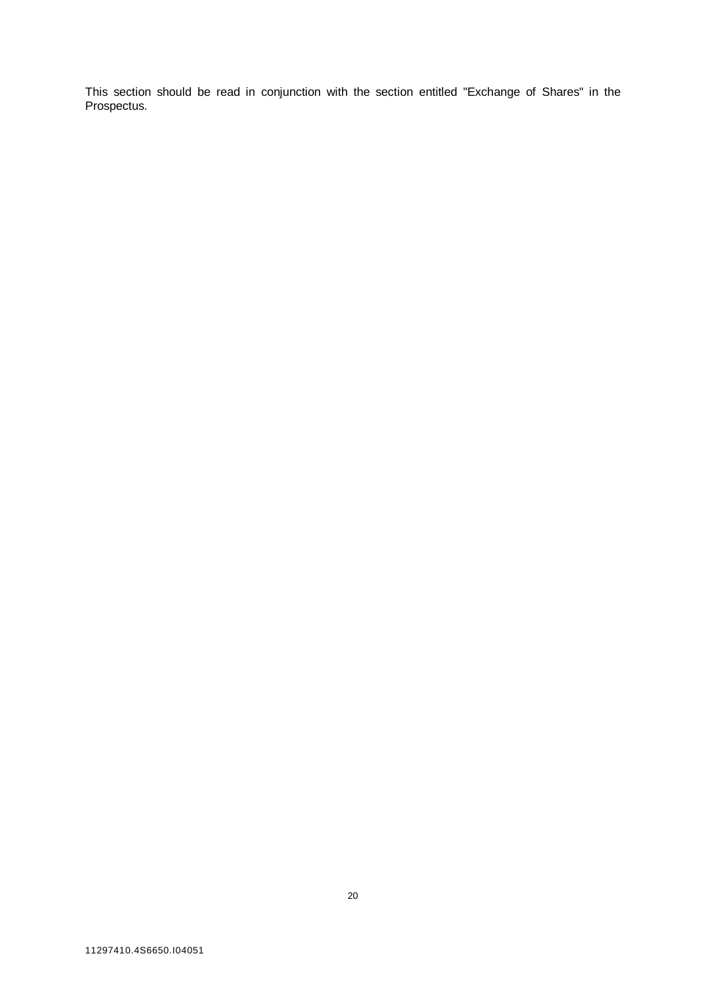This section should be read in conjunction with the section entitled "Exchange of Shares" in the Prospectus.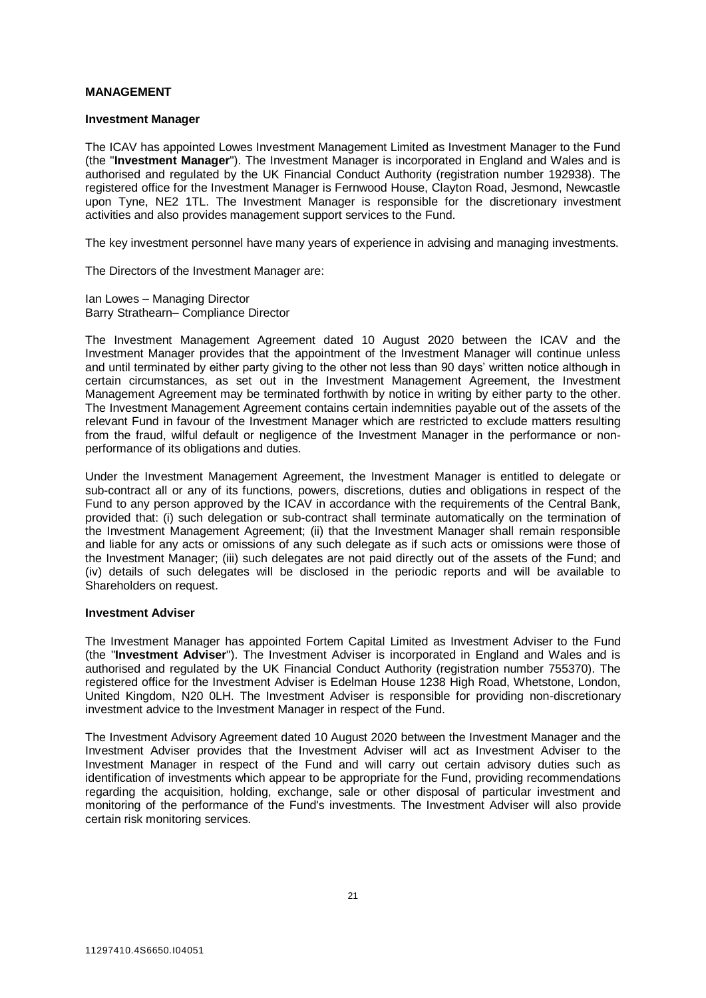# **MANAGEMENT**

#### **Investment Manager**

The ICAV has appointed Lowes Investment Management Limited as Investment Manager to the Fund (the "**Investment Manager**"). The Investment Manager is incorporated in England and Wales and is authorised and regulated by the UK Financial Conduct Authority (registration number 192938). The registered office for the Investment Manager is Fernwood House, Clayton Road, Jesmond, Newcastle upon Tyne, NE2 1TL. The Investment Manager is responsible for the discretionary investment activities and also provides management support services to the Fund.

The key investment personnel have many years of experience in advising and managing investments.

The Directors of the Investment Manager are:

Ian Lowes – Managing Director Barry Strathearn– Compliance Director

The Investment Management Agreement dated 10 August 2020 between the ICAV and the Investment Manager provides that the appointment of the Investment Manager will continue unless and until terminated by either party giving to the other not less than 90 days' written notice although in certain circumstances, as set out in the Investment Management Agreement, the Investment Management Agreement may be terminated forthwith by notice in writing by either party to the other. The Investment Management Agreement contains certain indemnities payable out of the assets of the relevant Fund in favour of the Investment Manager which are restricted to exclude matters resulting from the fraud, wilful default or negligence of the Investment Manager in the performance or nonperformance of its obligations and duties.

Under the Investment Management Agreement, the Investment Manager is entitled to delegate or sub-contract all or any of its functions, powers, discretions, duties and obligations in respect of the Fund to any person approved by the ICAV in accordance with the requirements of the Central Bank, provided that: (i) such delegation or sub-contract shall terminate automatically on the termination of the Investment Management Agreement; (ii) that the Investment Manager shall remain responsible and liable for any acts or omissions of any such delegate as if such acts or omissions were those of the Investment Manager; (iii) such delegates are not paid directly out of the assets of the Fund; and (iv) details of such delegates will be disclosed in the periodic reports and will be available to Shareholders on request.

# **Investment Adviser**

The Investment Manager has appointed Fortem Capital Limited as Investment Adviser to the Fund (the "**Investment Adviser**"). The Investment Adviser is incorporated in England and Wales and is authorised and regulated by the UK Financial Conduct Authority (registration number 755370). The registered office for the Investment Adviser is Edelman House 1238 High Road, Whetstone, London, United Kingdom, N20 0LH. The Investment Adviser is responsible for providing non-discretionary investment advice to the Investment Manager in respect of the Fund.

The Investment Advisory Agreement dated 10 August 2020 between the Investment Manager and the Investment Adviser provides that the Investment Adviser will act as Investment Adviser to the Investment Manager in respect of the Fund and will carry out certain advisory duties such as identification of investments which appear to be appropriate for the Fund, providing recommendations regarding the acquisition, holding, exchange, sale or other disposal of particular investment and monitoring of the performance of the Fund's investments. The Investment Adviser will also provide certain risk monitoring services.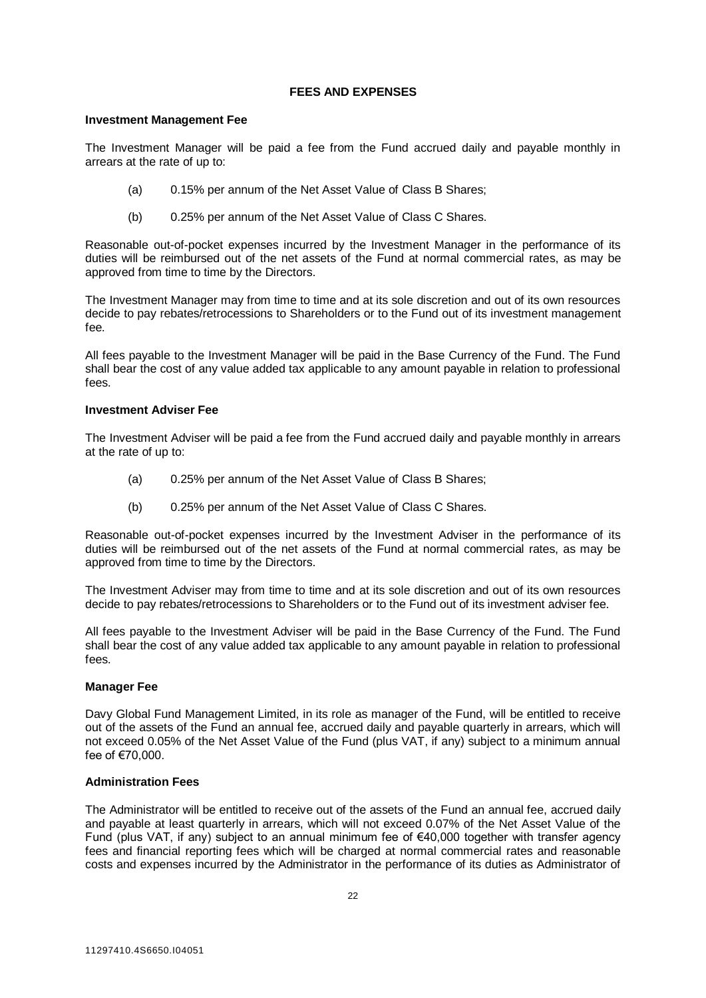# **FEES AND EXPENSES**

# <span id="page-21-0"></span>**Investment Management Fee**

The Investment Manager will be paid a fee from the Fund accrued daily and payable monthly in arrears at the rate of up to:

- (a) 0.15% per annum of the Net Asset Value of Class B Shares;
- (b) 0.25% per annum of the Net Asset Value of Class C Shares.

Reasonable out-of-pocket expenses incurred by the Investment Manager in the performance of its duties will be reimbursed out of the net assets of the Fund at normal commercial rates, as may be approved from time to time by the Directors.

The Investment Manager may from time to time and at its sole discretion and out of its own resources decide to pay rebates/retrocessions to Shareholders or to the Fund out of its investment management fee.

All fees payable to the Investment Manager will be paid in the Base Currency of the Fund. The Fund shall bear the cost of any value added tax applicable to any amount payable in relation to professional fees.

# **Investment Adviser Fee**

The Investment Adviser will be paid a fee from the Fund accrued daily and payable monthly in arrears at the rate of up to:

- (a) 0.25% per annum of the Net Asset Value of Class B Shares;
- (b) 0.25% per annum of the Net Asset Value of Class C Shares.

Reasonable out-of-pocket expenses incurred by the Investment Adviser in the performance of its duties will be reimbursed out of the net assets of the Fund at normal commercial rates, as may be approved from time to time by the Directors.

The Investment Adviser may from time to time and at its sole discretion and out of its own resources decide to pay rebates/retrocessions to Shareholders or to the Fund out of its investment adviser fee.

All fees payable to the Investment Adviser will be paid in the Base Currency of the Fund. The Fund shall bear the cost of any value added tax applicable to any amount payable in relation to professional fees.

# **Manager Fee**

Davy Global Fund Management Limited, in its role as manager of the Fund, will be entitled to receive out of the assets of the Fund an annual fee, accrued daily and payable quarterly in arrears, which will not exceed 0.05% of the Net Asset Value of the Fund (plus VAT, if any) subject to a minimum annual fee of €70,000.

# **Administration Fees**

The Administrator will be entitled to receive out of the assets of the Fund an annual fee, accrued daily and payable at least quarterly in arrears, which will not exceed 0.07% of the Net Asset Value of the Fund (plus VAT, if any) subject to an annual minimum fee of €40,000 together with transfer agency fees and financial reporting fees which will be charged at normal commercial rates and reasonable costs and expenses incurred by the Administrator in the performance of its duties as Administrator of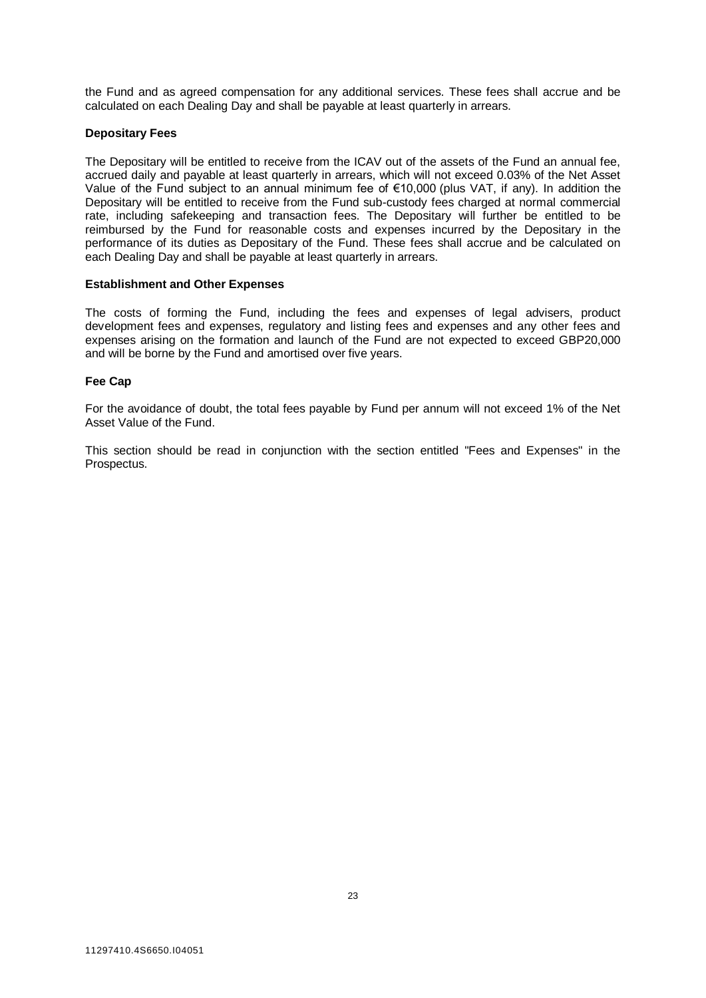the Fund and as agreed compensation for any additional services. These fees shall accrue and be calculated on each Dealing Day and shall be payable at least quarterly in arrears.

# **Depositary Fees**

The Depositary will be entitled to receive from the ICAV out of the assets of the Fund an annual fee, accrued daily and payable at least quarterly in arrears, which will not exceed 0.03% of the Net Asset Value of the Fund subject to an annual minimum fee of €10,000 (plus VAT, if any). In addition the Depositary will be entitled to receive from the Fund sub-custody fees charged at normal commercial rate, including safekeeping and transaction fees. The Depositary will further be entitled to be reimbursed by the Fund for reasonable costs and expenses incurred by the Depositary in the performance of its duties as Depositary of the Fund. These fees shall accrue and be calculated on each Dealing Day and shall be payable at least quarterly in arrears.

# **Establishment and Other Expenses**

The costs of forming the Fund, including the fees and expenses of legal advisers, product development fees and expenses, regulatory and listing fees and expenses and any other fees and expenses arising on the formation and launch of the Fund are not expected to exceed GBP20,000 and will be borne by the Fund and amortised over five years.

# **Fee Cap**

For the avoidance of doubt, the total fees payable by Fund per annum will not exceed 1% of the Net Asset Value of the Fund.

This section should be read in conjunction with the section entitled "Fees and Expenses" in the Prospectus.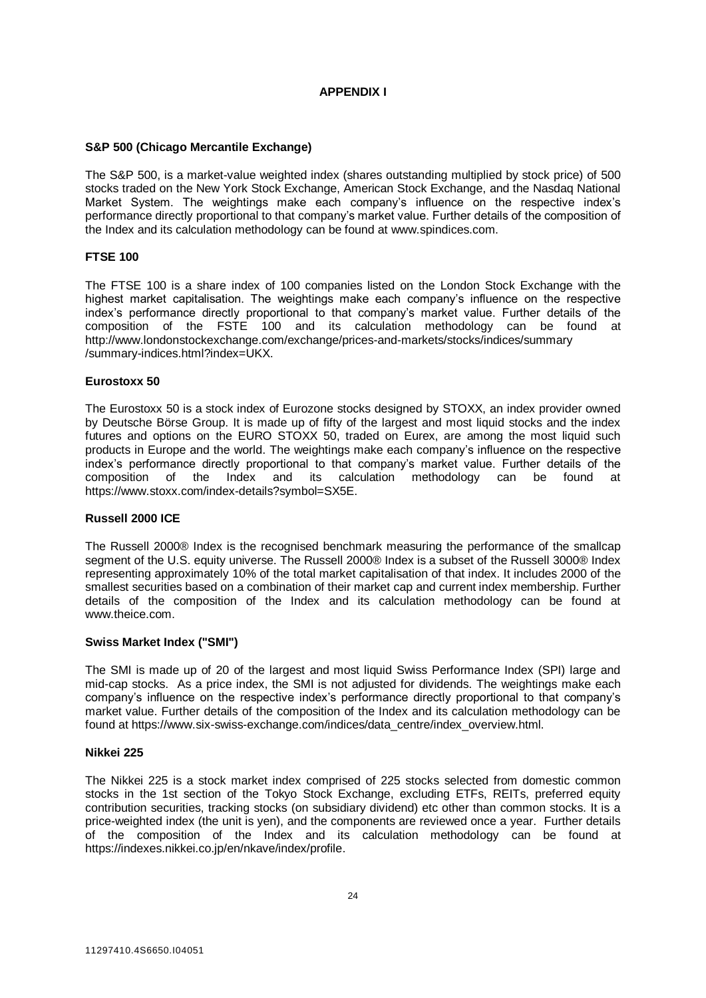# **APPENDIX I**

# **S&P 500 (Chicago Mercantile Exchange)**

The S&P 500, is a market-value weighted index (shares outstanding multiplied by stock price) of 500 stocks traded on the New York Stock Exchange, American Stock Exchange, and the Nasdaq National Market System. The weightings make each company's influence on the respective index's performance directly proportional to that company's market value. Further details of the composition of the Index and its calculation methodology can be found at [www.spindices.com.](http://www.spindices.com/)

# **FTSE 100**

The FTSE 100 is a share index of 100 companies listed on the London Stock Exchange with the highest market capitalisation. The weightings make each company's influence on the respective index's performance directly proportional to that company's market value. Further details of the composition of the FSTE 100 and its calculation methodology can be found at http://www.londonstockexchange.com/exchange/prices-and-markets/stocks/indices/summary /summary-indices.html?index=UKX.

# **Eurostoxx 50**

The Eurostoxx 50 is a stock index of Eurozone stocks designed by STOXX, an index provider owned by Deutsche Börse Group. It is made up of fifty of the largest and most liquid stocks and the index futures and options on the EURO STOXX 50, traded on Eurex, are among the most liquid such products in Europe and the world. The weightings make each company's influence on the respective index's performance directly proportional to that company's market value. Further details of the composition of the Index and its calculation methodology can be found at https://www.stoxx.com/index-details?symbol=SX5E.

# **Russell 2000 ICE**

The Russell 2000® Index is the recognised benchmark measuring the performance of the smallcap segment of the U.S. equity universe. The Russell 2000® Index is a subset of the Russell 3000® Index representing approximately 10% of the total market capitalisation of that index. It includes 2000 of the smallest securities based on a combination of their market cap and current index membership. Further details of the composition of the Index and its calculation methodology can be found at [www.theice.com.](http://www.theice.com/)

# **Swiss Market Index ("SMI")**

The SMI is made up of 20 of the largest and most liquid Swiss Performance Index (SPI) large and mid-cap stocks. As a price index, the SMI is not adjusted for dividends. The weightings make each company's influence on the respective index's performance directly proportional to that company's market value. Further details of the composition of the Index and its calculation methodology can be found at https://www.six-swiss-exchange.com/indices/data\_centre/index\_overview.html.

# **Nikkei 225**

The Nikkei 225 is a stock market index comprised of 225 stocks selected from domestic common stocks in the 1st section of the Tokyo Stock Exchange, excluding ETFs, REITs, preferred equity contribution securities, tracking stocks (on subsidiary dividend) etc other than common stocks. It is a price-weighted index (the unit is yen), and the components are reviewed once a year. Further details of the composition of the Index and its calculation methodology can be found at [https://indexes.nikkei.co.jp/en/nkave/index/profile.](https://indexes.nikkei.co.jp/en/nkave/index/profile)